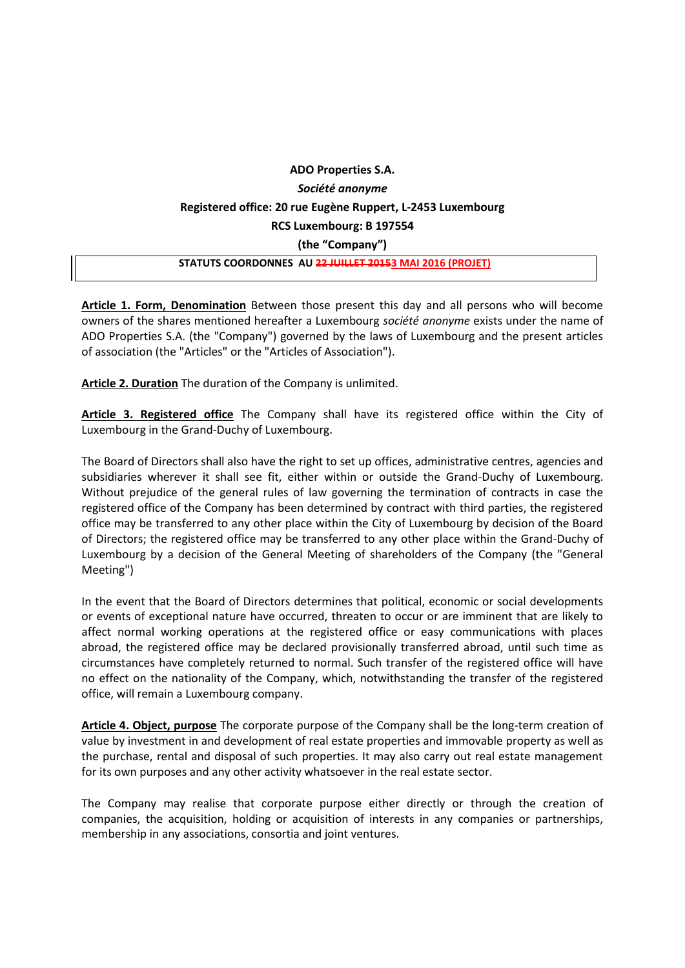## **ADO Properties S.A.** *Société anonyme* **Registered office: 20 rue Eugène Ruppert, L-2453 Luxembourg RCS Luxembourg: B 197554 (the "Company") STATUTS COORDONNES AU 22 JUILLET 20153 MAI 2016 (PROJET)**

**Article 1. Form, Denomination** Between those present this day and all persons who will become owners of the shares mentioned hereafter a Luxembourg *société anonyme* exists under the name of ADO Properties S.A. (the "Company") governed by the laws of Luxembourg and the present articles of association (the "Articles" or the "Articles of Association").

**Article 2. Duration** The duration of the Company is unlimited.

**Article 3. Registered office** The Company shall have its registered office within the City of Luxembourg in the Grand-Duchy of Luxembourg.

The Board of Directors shall also have the right to set up offices, administrative centres, agencies and subsidiaries wherever it shall see fit, either within or outside the Grand-Duchy of Luxembourg. Without prejudice of the general rules of law governing the termination of contracts in case the registered office of the Company has been determined by contract with third parties, the registered office may be transferred to any other place within the City of Luxembourg by decision of the Board of Directors; the registered office may be transferred to any other place within the Grand-Duchy of Luxembourg by a decision of the General Meeting of shareholders of the Company (the "General Meeting")

In the event that the Board of Directors determines that political, economic or social developments or events of exceptional nature have occurred, threaten to occur or are imminent that are likely to affect normal working operations at the registered office or easy communications with places abroad, the registered office may be declared provisionally transferred abroad, until such time as circumstances have completely returned to normal. Such transfer of the registered office will have no effect on the nationality of the Company, which, notwithstanding the transfer of the registered office, will remain a Luxembourg company.

**Article 4. Object, purpose** The corporate purpose of the Company shall be the long-term creation of value by investment in and development of real estate properties and immovable property as well as the purchase, rental and disposal of such properties. It may also carry out real estate management for its own purposes and any other activity whatsoever in the real estate sector.

The Company may realise that corporate purpose either directly or through the creation of companies, the acquisition, holding or acquisition of interests in any companies or partnerships, membership in any associations, consortia and joint ventures.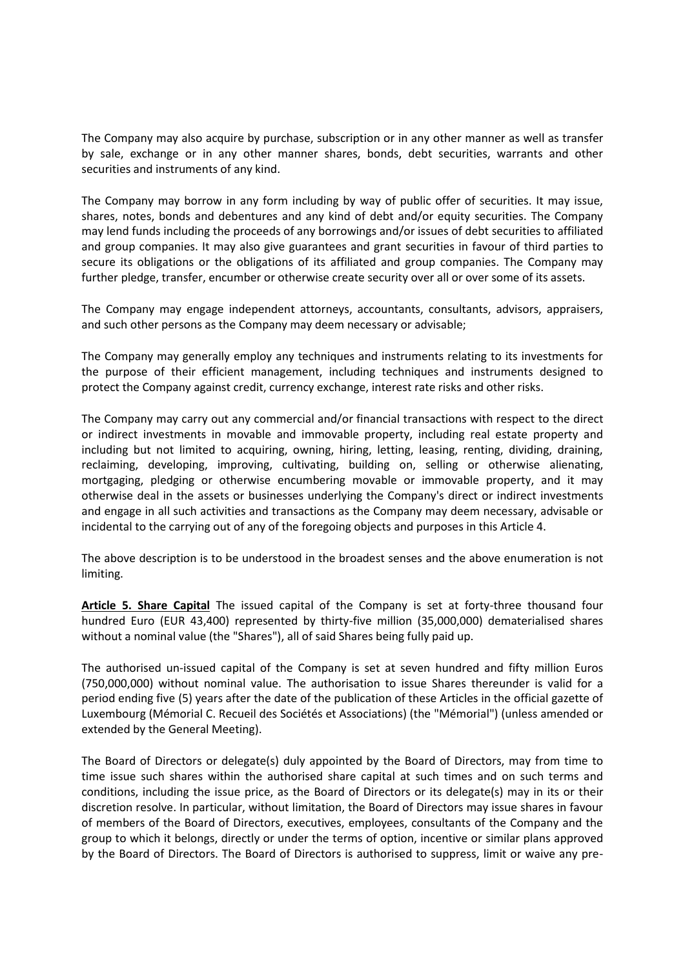The Company may also acquire by purchase, subscription or in any other manner as well as transfer by sale, exchange or in any other manner shares, bonds, debt securities, warrants and other securities and instruments of any kind.

The Company may borrow in any form including by way of public offer of securities. It may issue, shares, notes, bonds and debentures and any kind of debt and/or equity securities. The Company may lend funds including the proceeds of any borrowings and/or issues of debt securities to affiliated and group companies. It may also give guarantees and grant securities in favour of third parties to secure its obligations or the obligations of its affiliated and group companies. The Company may further pledge, transfer, encumber or otherwise create security over all or over some of its assets.

The Company may engage independent attorneys, accountants, consultants, advisors, appraisers, and such other persons as the Company may deem necessary or advisable;

The Company may generally employ any techniques and instruments relating to its investments for the purpose of their efficient management, including techniques and instruments designed to protect the Company against credit, currency exchange, interest rate risks and other risks.

The Company may carry out any commercial and/or financial transactions with respect to the direct or indirect investments in movable and immovable property, including real estate property and including but not limited to acquiring, owning, hiring, letting, leasing, renting, dividing, draining, reclaiming, developing, improving, cultivating, building on, selling or otherwise alienating, mortgaging, pledging or otherwise encumbering movable or immovable property, and it may otherwise deal in the assets or businesses underlying the Company's direct or indirect investments and engage in all such activities and transactions as the Company may deem necessary, advisable or incidental to the carrying out of any of the foregoing objects and purposes in this Article 4.

The above description is to be understood in the broadest senses and the above enumeration is not limiting.

**Article 5. Share Capital** The issued capital of the Company is set at forty-three thousand four hundred Euro (EUR 43,400) represented by thirty-five million (35,000,000) dematerialised shares without a nominal value (the "Shares"), all of said Shares being fully paid up.

The authorised un-issued capital of the Company is set at seven hundred and fifty million Euros (750,000,000) without nominal value. The authorisation to issue Shares thereunder is valid for a period ending five (5) years after the date of the publication of these Articles in the official gazette of Luxembourg (Mémorial C. Recueil des Sociétés et Associations) (the "Mémorial") (unless amended or extended by the General Meeting).

The Board of Directors or delegate(s) duly appointed by the Board of Directors, may from time to time issue such shares within the authorised share capital at such times and on such terms and conditions, including the issue price, as the Board of Directors or its delegate(s) may in its or their discretion resolve. In particular, without limitation, the Board of Directors may issue shares in favour of members of the Board of Directors, executives, employees, consultants of the Company and the group to which it belongs, directly or under the terms of option, incentive or similar plans approved by the Board of Directors. The Board of Directors is authorised to suppress, limit or waive any pre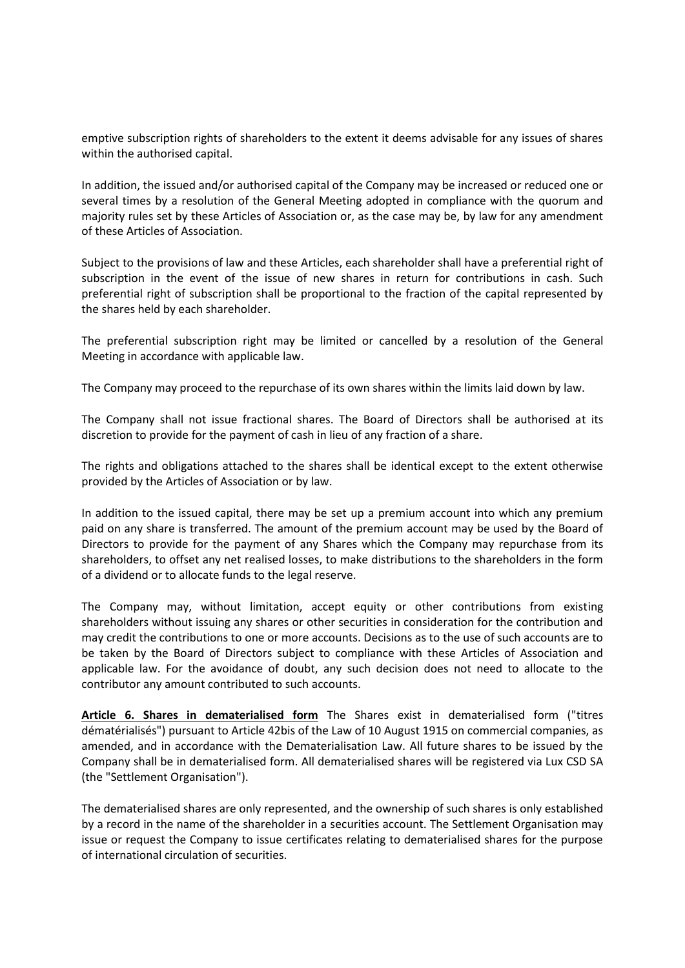emptive subscription rights of shareholders to the extent it deems advisable for any issues of shares within the authorised capital.

In addition, the issued and/or authorised capital of the Company may be increased or reduced one or several times by a resolution of the General Meeting adopted in compliance with the quorum and majority rules set by these Articles of Association or, as the case may be, by law for any amendment of these Articles of Association.

Subject to the provisions of law and these Articles, each shareholder shall have a preferential right of subscription in the event of the issue of new shares in return for contributions in cash. Such preferential right of subscription shall be proportional to the fraction of the capital represented by the shares held by each shareholder.

The preferential subscription right may be limited or cancelled by a resolution of the General Meeting in accordance with applicable law.

The Company may proceed to the repurchase of its own shares within the limits laid down by law.

The Company shall not issue fractional shares. The Board of Directors shall be authorised at its discretion to provide for the payment of cash in lieu of any fraction of a share.

The rights and obligations attached to the shares shall be identical except to the extent otherwise provided by the Articles of Association or by law.

In addition to the issued capital, there may be set up a premium account into which any premium paid on any share is transferred. The amount of the premium account may be used by the Board of Directors to provide for the payment of any Shares which the Company may repurchase from its shareholders, to offset any net realised losses, to make distributions to the shareholders in the form of a dividend or to allocate funds to the legal reserve.

The Company may, without limitation, accept equity or other contributions from existing shareholders without issuing any shares or other securities in consideration for the contribution and may credit the contributions to one or more accounts. Decisions as to the use of such accounts are to be taken by the Board of Directors subject to compliance with these Articles of Association and applicable law. For the avoidance of doubt, any such decision does not need to allocate to the contributor any amount contributed to such accounts.

**Article 6. Shares in dematerialised form** The Shares exist in dematerialised form ("titres dématérialisés") pursuant to Article 42bis of the Law of 10 August 1915 on commercial companies, as amended, and in accordance with the Dematerialisation Law. All future shares to be issued by the Company shall be in dematerialised form. All dematerialised shares will be registered via Lux CSD SA (the "Settlement Organisation").

The dematerialised shares are only represented, and the ownership of such shares is only established by a record in the name of the shareholder in a securities account. The Settlement Organisation may issue or request the Company to issue certificates relating to dematerialised shares for the purpose of international circulation of securities.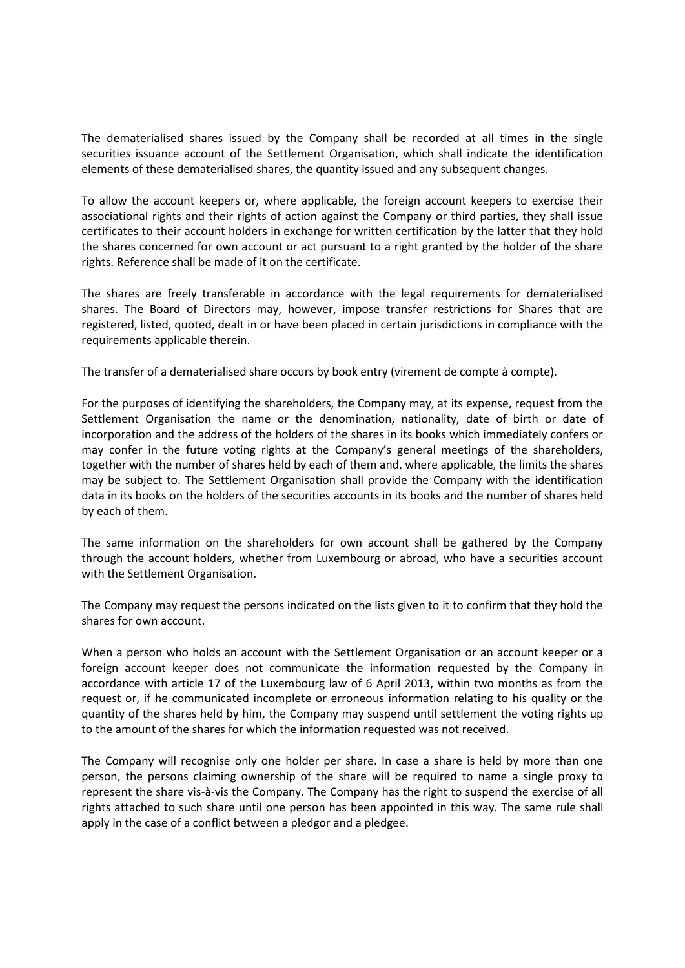The dematerialised shares issued by the Company shall be recorded at all times in the single securities issuance account of the Settlement Organisation, which shall indicate the identification elements of these dematerialised shares, the quantity issued and any subsequent changes.

To allow the account keepers or, where applicable, the foreign account keepers to exercise their associational rights and their rights of action against the Company or third parties, they shall issue certificates to their account holders in exchange for written certification by the latter that they hold the shares concerned for own account or act pursuant to a right granted by the holder of the share rights. Reference shall be made of it on the certificate.

The shares are freely transferable in accordance with the legal requirements for dematerialised shares. The Board of Directors may, however, impose transfer restrictions for Shares that are registered, listed, quoted, dealt in or have been placed in certain jurisdictions in compliance with the requirements applicable therein.

The transfer of a dematerialised share occurs by book entry (virement de compte à compte).

For the purposes of identifying the shareholders, the Company may, at its expense, request from the Settlement Organisation the name or the denomination, nationality, date of birth or date of incorporation and the address of the holders of the shares in its books which immediately confers or may confer in the future voting rights at the Company's general meetings of the shareholders, together with the number of shares held by each of them and, where applicable, the limits the shares may be subject to. The Settlement Organisation shall provide the Company with the identification data in its books on the holders of the securities accounts in its books and the number of shares held by each of them.

The same information on the shareholders for own account shall be gathered by the Company through the account holders, whether from Luxembourg or abroad, who have a securities account with the Settlement Organisation.

The Company may request the persons indicated on the lists given to it to confirm that they hold the shares for own account.

When a person who holds an account with the Settlement Organisation or an account keeper or a foreign account keeper does not communicate the information requested by the Company in accordance with article 17 of the Luxembourg law of 6 April 2013, within two months as from the request or, if he communicated incomplete or erroneous information relating to his quality or the quantity of the shares held by him, the Company may suspend until settlement the voting rights up to the amount of the shares for which the information requested was not received.

The Company will recognise only one holder per share. In case a share is held by more than one person, the persons claiming ownership of the share will be required to name a single proxy to represent the share vis-à-vis the Company. The Company has the right to suspend the exercise of all rights attached to such share until one person has been appointed in this way. The same rule shall apply in the case of a conflict between a pledgor and a pledgee.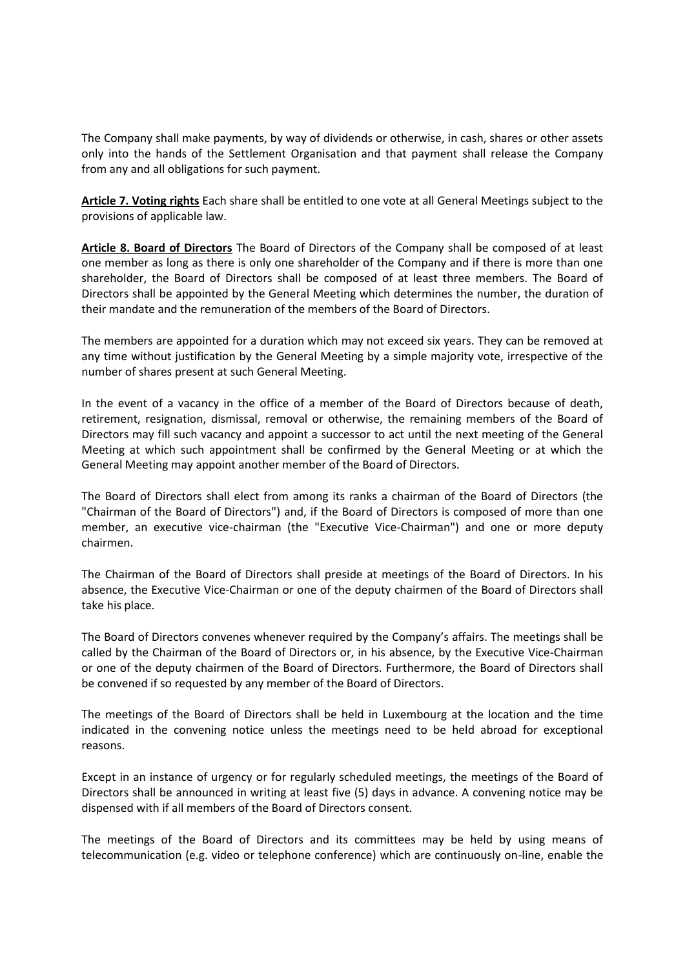The Company shall make payments, by way of dividends or otherwise, in cash, shares or other assets only into the hands of the Settlement Organisation and that payment shall release the Company from any and all obligations for such payment.

**Article 7. Voting rights** Each share shall be entitled to one vote at all General Meetings subject to the provisions of applicable law.

**Article 8. Board of Directors** The Board of Directors of the Company shall be composed of at least one member as long as there is only one shareholder of the Company and if there is more than one shareholder, the Board of Directors shall be composed of at least three members. The Board of Directors shall be appointed by the General Meeting which determines the number, the duration of their mandate and the remuneration of the members of the Board of Directors.

The members are appointed for a duration which may not exceed six years. They can be removed at any time without justification by the General Meeting by a simple majority vote, irrespective of the number of shares present at such General Meeting.

In the event of a vacancy in the office of a member of the Board of Directors because of death, retirement, resignation, dismissal, removal or otherwise, the remaining members of the Board of Directors may fill such vacancy and appoint a successor to act until the next meeting of the General Meeting at which such appointment shall be confirmed by the General Meeting or at which the General Meeting may appoint another member of the Board of Directors.

The Board of Directors shall elect from among its ranks a chairman of the Board of Directors (the "Chairman of the Board of Directors") and, if the Board of Directors is composed of more than one member, an executive vice-chairman (the "Executive Vice-Chairman") and one or more deputy chairmen.

The Chairman of the Board of Directors shall preside at meetings of the Board of Directors. In his absence, the Executive Vice-Chairman or one of the deputy chairmen of the Board of Directors shall take his place.

The Board of Directors convenes whenever required by the Company's affairs. The meetings shall be called by the Chairman of the Board of Directors or, in his absence, by the Executive Vice-Chairman or one of the deputy chairmen of the Board of Directors. Furthermore, the Board of Directors shall be convened if so requested by any member of the Board of Directors.

The meetings of the Board of Directors shall be held in Luxembourg at the location and the time indicated in the convening notice unless the meetings need to be held abroad for exceptional reasons.

Except in an instance of urgency or for regularly scheduled meetings, the meetings of the Board of Directors shall be announced in writing at least five (5) days in advance. A convening notice may be dispensed with if all members of the Board of Directors consent.

The meetings of the Board of Directors and its committees may be held by using means of telecommunication (e.g. video or telephone conference) which are continuously on-line, enable the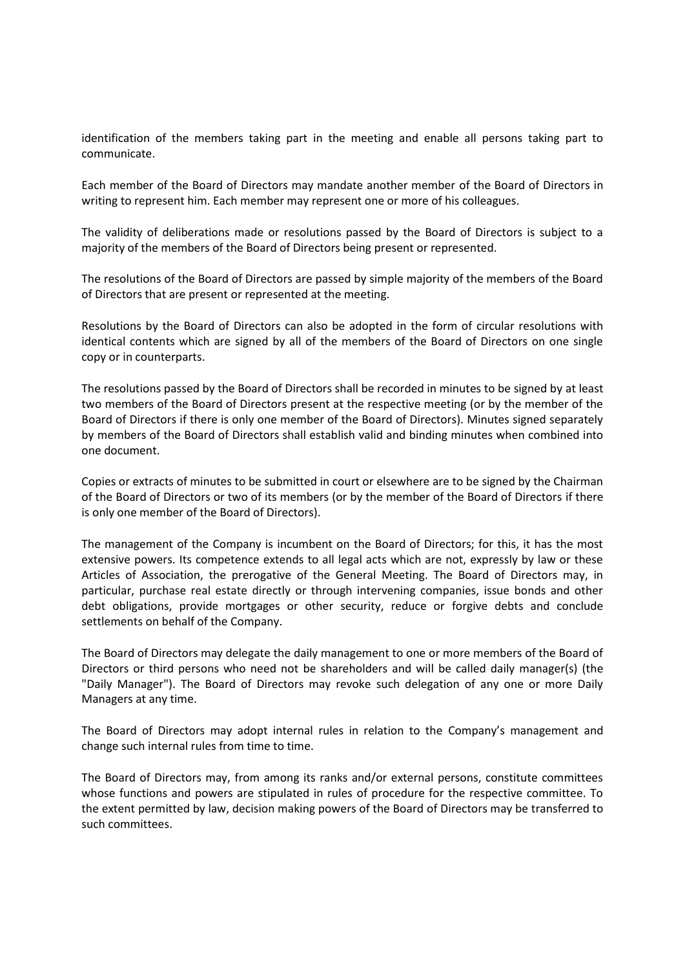identification of the members taking part in the meeting and enable all persons taking part to communicate.

Each member of the Board of Directors may mandate another member of the Board of Directors in writing to represent him. Each member may represent one or more of his colleagues.

The validity of deliberations made or resolutions passed by the Board of Directors is subject to a majority of the members of the Board of Directors being present or represented.

The resolutions of the Board of Directors are passed by simple majority of the members of the Board of Directors that are present or represented at the meeting.

Resolutions by the Board of Directors can also be adopted in the form of circular resolutions with identical contents which are signed by all of the members of the Board of Directors on one single copy or in counterparts.

The resolutions passed by the Board of Directors shall be recorded in minutes to be signed by at least two members of the Board of Directors present at the respective meeting (or by the member of the Board of Directors if there is only one member of the Board of Directors). Minutes signed separately by members of the Board of Directors shall establish valid and binding minutes when combined into one document.

Copies or extracts of minutes to be submitted in court or elsewhere are to be signed by the Chairman of the Board of Directors or two of its members (or by the member of the Board of Directors if there is only one member of the Board of Directors).

The management of the Company is incumbent on the Board of Directors; for this, it has the most extensive powers. Its competence extends to all legal acts which are not, expressly by law or these Articles of Association, the prerogative of the General Meeting. The Board of Directors may, in particular, purchase real estate directly or through intervening companies, issue bonds and other debt obligations, provide mortgages or other security, reduce or forgive debts and conclude settlements on behalf of the Company.

The Board of Directors may delegate the daily management to one or more members of the Board of Directors or third persons who need not be shareholders and will be called daily manager(s) (the "Daily Manager"). The Board of Directors may revoke such delegation of any one or more Daily Managers at any time.

The Board of Directors may adopt internal rules in relation to the Company's management and change such internal rules from time to time.

The Board of Directors may, from among its ranks and/or external persons, constitute committees whose functions and powers are stipulated in rules of procedure for the respective committee. To the extent permitted by law, decision making powers of the Board of Directors may be transferred to such committees.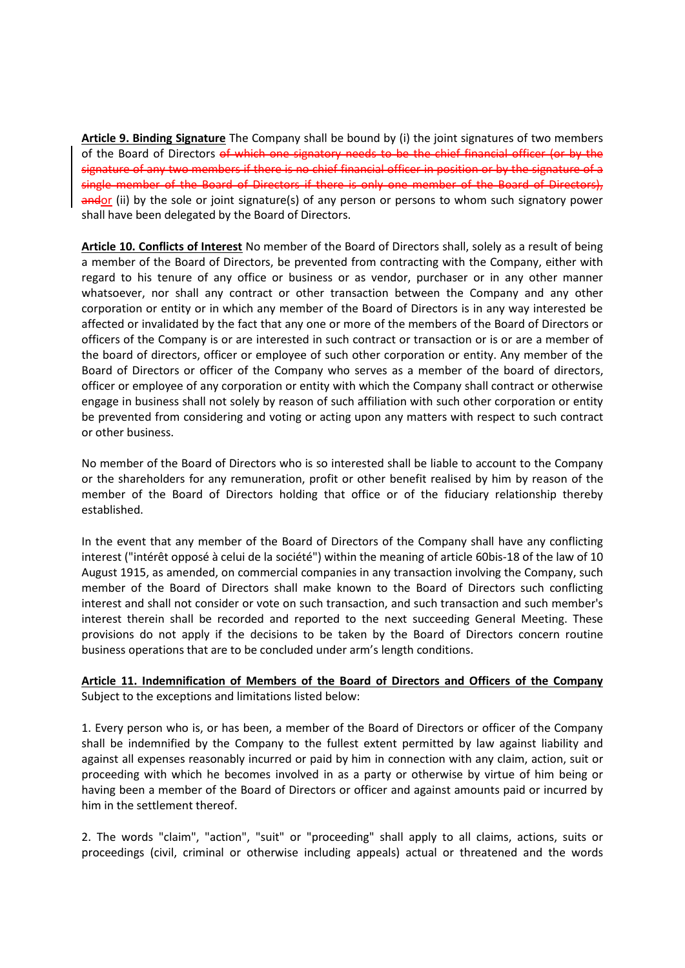**Article 9. Binding Signature** The Company shall be bound by (i) the joint signatures of two members of the Board of Directors of which one signatory needs to be the chief financial officer (or by the signature of any two members if there is no chief financial officer in position or by the signature of a single member of the Board of Directors if there is only one member of the Board of Directors), andor (ii) by the sole or joint signature(s) of any person or persons to whom such signatory power shall have been delegated by the Board of Directors.

**Article 10. Conflicts of Interest** No member of the Board of Directors shall, solely as a result of being a member of the Board of Directors, be prevented from contracting with the Company, either with regard to his tenure of any office or business or as vendor, purchaser or in any other manner whatsoever, nor shall any contract or other transaction between the Company and any other corporation or entity or in which any member of the Board of Directors is in any way interested be affected or invalidated by the fact that any one or more of the members of the Board of Directors or officers of the Company is or are interested in such contract or transaction or is or are a member of the board of directors, officer or employee of such other corporation or entity. Any member of the Board of Directors or officer of the Company who serves as a member of the board of directors, officer or employee of any corporation or entity with which the Company shall contract or otherwise engage in business shall not solely by reason of such affiliation with such other corporation or entity be prevented from considering and voting or acting upon any matters with respect to such contract or other business.

No member of the Board of Directors who is so interested shall be liable to account to the Company or the shareholders for any remuneration, profit or other benefit realised by him by reason of the member of the Board of Directors holding that office or of the fiduciary relationship thereby established.

In the event that any member of the Board of Directors of the Company shall have any conflicting interest ("intérêt opposé à celui de la société") within the meaning of article 60bis-18 of the law of 10 August 1915, as amended, on commercial companies in any transaction involving the Company, such member of the Board of Directors shall make known to the Board of Directors such conflicting interest and shall not consider or vote on such transaction, and such transaction and such member's interest therein shall be recorded and reported to the next succeeding General Meeting. These provisions do not apply if the decisions to be taken by the Board of Directors concern routine business operations that are to be concluded under arm's length conditions.

## **Article 11. Indemnification of Members of the Board of Directors and Officers of the Company** Subject to the exceptions and limitations listed below:

1. Every person who is, or has been, a member of the Board of Directors or officer of the Company shall be indemnified by the Company to the fullest extent permitted by law against liability and against all expenses reasonably incurred or paid by him in connection with any claim, action, suit or proceeding with which he becomes involved in as a party or otherwise by virtue of him being or having been a member of the Board of Directors or officer and against amounts paid or incurred by him in the settlement thereof.

2. The words "claim", "action", "suit" or "proceeding" shall apply to all claims, actions, suits or proceedings (civil, criminal or otherwise including appeals) actual or threatened and the words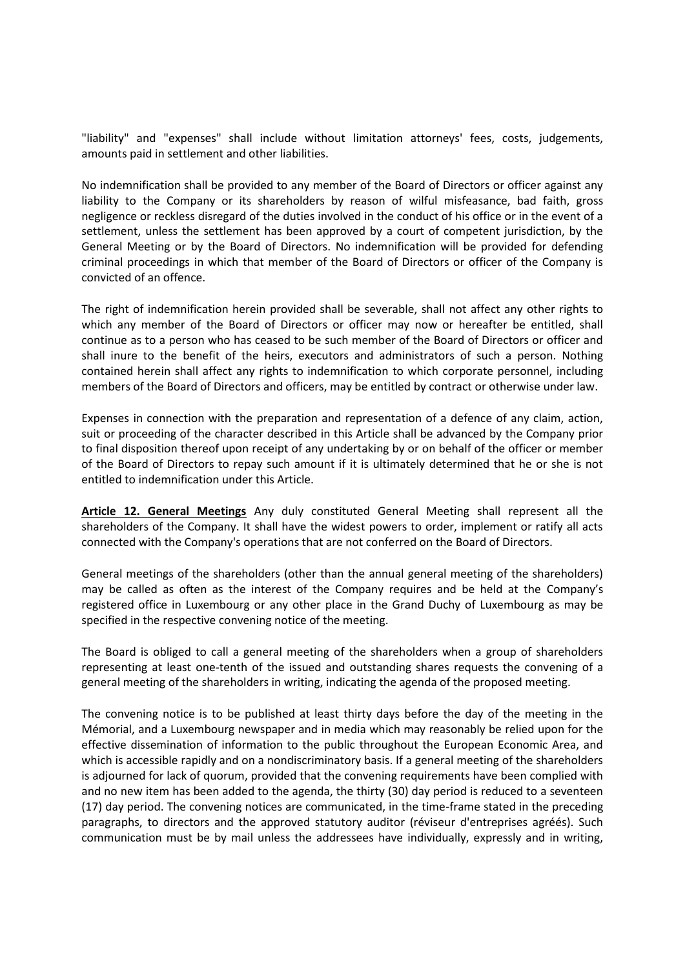"liability" and "expenses" shall include without limitation attorneys' fees, costs, judgements, amounts paid in settlement and other liabilities.

No indemnification shall be provided to any member of the Board of Directors or officer against any liability to the Company or its shareholders by reason of wilful misfeasance, bad faith, gross negligence or reckless disregard of the duties involved in the conduct of his office or in the event of a settlement, unless the settlement has been approved by a court of competent jurisdiction, by the General Meeting or by the Board of Directors. No indemnification will be provided for defending criminal proceedings in which that member of the Board of Directors or officer of the Company is convicted of an offence.

The right of indemnification herein provided shall be severable, shall not affect any other rights to which any member of the Board of Directors or officer may now or hereafter be entitled, shall continue as to a person who has ceased to be such member of the Board of Directors or officer and shall inure to the benefit of the heirs, executors and administrators of such a person. Nothing contained herein shall affect any rights to indemnification to which corporate personnel, including members of the Board of Directors and officers, may be entitled by contract or otherwise under law.

Expenses in connection with the preparation and representation of a defence of any claim, action, suit or proceeding of the character described in this Article shall be advanced by the Company prior to final disposition thereof upon receipt of any undertaking by or on behalf of the officer or member of the Board of Directors to repay such amount if it is ultimately determined that he or she is not entitled to indemnification under this Article.

**Article 12. General Meetings** Any duly constituted General Meeting shall represent all the shareholders of the Company. It shall have the widest powers to order, implement or ratify all acts connected with the Company's operations that are not conferred on the Board of Directors.

General meetings of the shareholders (other than the annual general meeting of the shareholders) may be called as often as the interest of the Company requires and be held at the Company's registered office in Luxembourg or any other place in the Grand Duchy of Luxembourg as may be specified in the respective convening notice of the meeting.

The Board is obliged to call a general meeting of the shareholders when a group of shareholders representing at least one-tenth of the issued and outstanding shares requests the convening of a general meeting of the shareholders in writing, indicating the agenda of the proposed meeting.

The convening notice is to be published at least thirty days before the day of the meeting in the Mémorial, and a Luxembourg newspaper and in media which may reasonably be relied upon for the effective dissemination of information to the public throughout the European Economic Area, and which is accessible rapidly and on a nondiscriminatory basis. If a general meeting of the shareholders is adjourned for lack of quorum, provided that the convening requirements have been complied with and no new item has been added to the agenda, the thirty (30) day period is reduced to a seventeen (17) day period. The convening notices are communicated, in the time-frame stated in the preceding paragraphs, to directors and the approved statutory auditor (réviseur d'entreprises agréés). Such communication must be by mail unless the addressees have individually, expressly and in writing,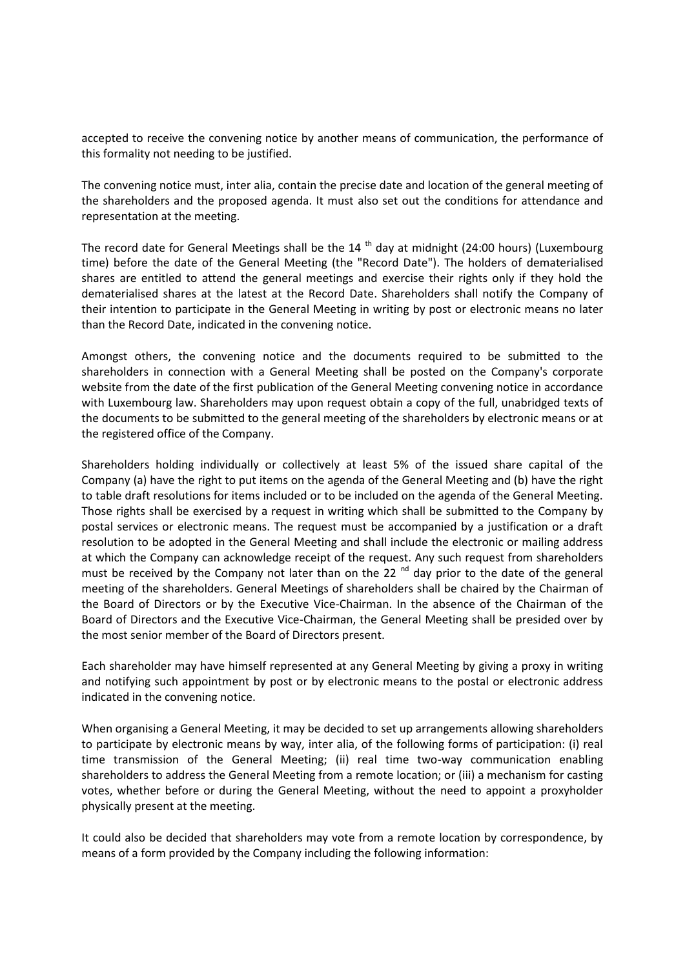accepted to receive the convening notice by another means of communication, the performance of this formality not needing to be justified.

The convening notice must, inter alia, contain the precise date and location of the general meeting of the shareholders and the proposed agenda. It must also set out the conditions for attendance and representation at the meeting.

The record date for General Meetings shall be the  $14<sup>th</sup>$  day at midnight (24:00 hours) (Luxembourg time) before the date of the General Meeting (the "Record Date"). The holders of dematerialised shares are entitled to attend the general meetings and exercise their rights only if they hold the dematerialised shares at the latest at the Record Date. Shareholders shall notify the Company of their intention to participate in the General Meeting in writing by post or electronic means no later than the Record Date, indicated in the convening notice.

Amongst others, the convening notice and the documents required to be submitted to the shareholders in connection with a General Meeting shall be posted on the Company's corporate website from the date of the first publication of the General Meeting convening notice in accordance with Luxembourg law. Shareholders may upon request obtain a copy of the full, unabridged texts of the documents to be submitted to the general meeting of the shareholders by electronic means or at the registered office of the Company.

Shareholders holding individually or collectively at least 5% of the issued share capital of the Company (a) have the right to put items on the agenda of the General Meeting and (b) have the right to table draft resolutions for items included or to be included on the agenda of the General Meeting. Those rights shall be exercised by a request in writing which shall be submitted to the Company by postal services or electronic means. The request must be accompanied by a justification or a draft resolution to be adopted in the General Meeting and shall include the electronic or mailing address at which the Company can acknowledge receipt of the request. Any such request from shareholders must be received by the Company not later than on the 22<sup>nd</sup> day prior to the date of the general meeting of the shareholders. General Meetings of shareholders shall be chaired by the Chairman of the Board of Directors or by the Executive Vice-Chairman. In the absence of the Chairman of the Board of Directors and the Executive Vice-Chairman, the General Meeting shall be presided over by the most senior member of the Board of Directors present.

Each shareholder may have himself represented at any General Meeting by giving a proxy in writing and notifying such appointment by post or by electronic means to the postal or electronic address indicated in the convening notice.

When organising a General Meeting, it may be decided to set up arrangements allowing shareholders to participate by electronic means by way, inter alia, of the following forms of participation: (i) real time transmission of the General Meeting; (ii) real time two-way communication enabling shareholders to address the General Meeting from a remote location; or (iii) a mechanism for casting votes, whether before or during the General Meeting, without the need to appoint a proxyholder physically present at the meeting.

It could also be decided that shareholders may vote from a remote location by correspondence, by means of a form provided by the Company including the following information: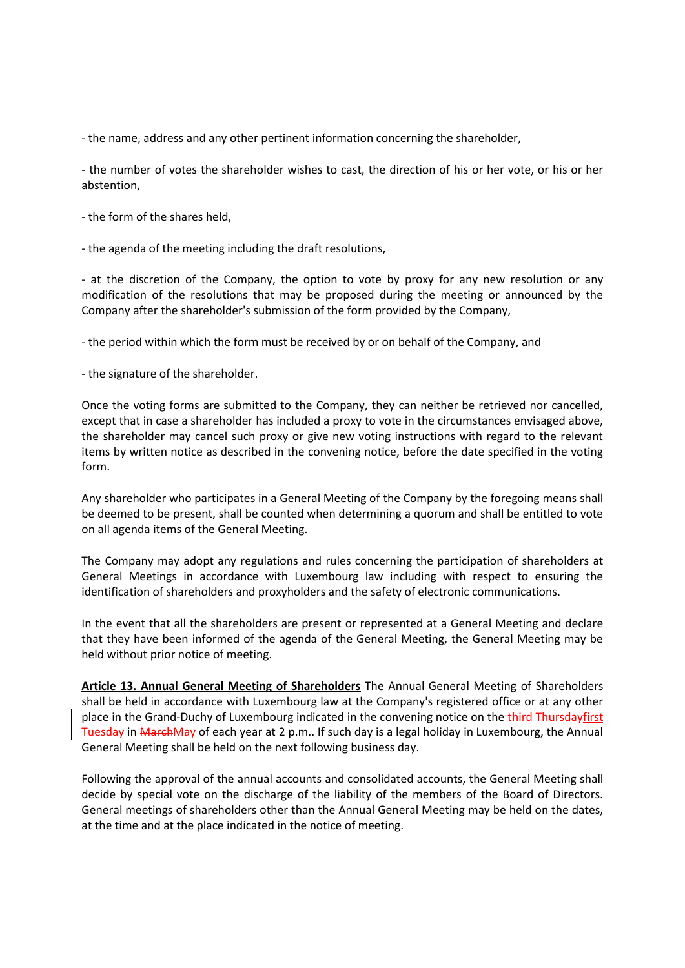- the name, address and any other pertinent information concerning the shareholder,

- the number of votes the shareholder wishes to cast, the direction of his or her vote, or his or her abstention,

- the form of the shares held,

- the agenda of the meeting including the draft resolutions,

- at the discretion of the Company, the option to vote by proxy for any new resolution or any modification of the resolutions that may be proposed during the meeting or announced by the Company after the shareholder's submission of the form provided by the Company,

- the period within which the form must be received by or on behalf of the Company, and

- the signature of the shareholder.

Once the voting forms are submitted to the Company, they can neither be retrieved nor cancelled, except that in case a shareholder has included a proxy to vote in the circumstances envisaged above, the shareholder may cancel such proxy or give new voting instructions with regard to the relevant items by written notice as described in the convening notice, before the date specified in the voting form.

Any shareholder who participates in a General Meeting of the Company by the foregoing means shall be deemed to be present, shall be counted when determining a quorum and shall be entitled to vote on all agenda items of the General Meeting.

The Company may adopt any regulations and rules concerning the participation of shareholders at General Meetings in accordance with Luxembourg law including with respect to ensuring the identification of shareholders and proxyholders and the safety of electronic communications.

In the event that all the shareholders are present or represented at a General Meeting and declare that they have been informed of the agenda of the General Meeting, the General Meeting may be held without prior notice of meeting.

**Article 13. Annual General Meeting of Shareholders** The Annual General Meeting of Shareholders shall be held in accordance with Luxembourg law at the Company's registered office or at any other place in the Grand-Duchy of Luxembourg indicated in the convening notice on the third Thursdayfirst Tuesday in MarchMay of each year at 2 p.m.. If such day is a legal holiday in Luxembourg, the Annual General Meeting shall be held on the next following business day.

Following the approval of the annual accounts and consolidated accounts, the General Meeting shall decide by special vote on the discharge of the liability of the members of the Board of Directors. General meetings of shareholders other than the Annual General Meeting may be held on the dates, at the time and at the place indicated in the notice of meeting.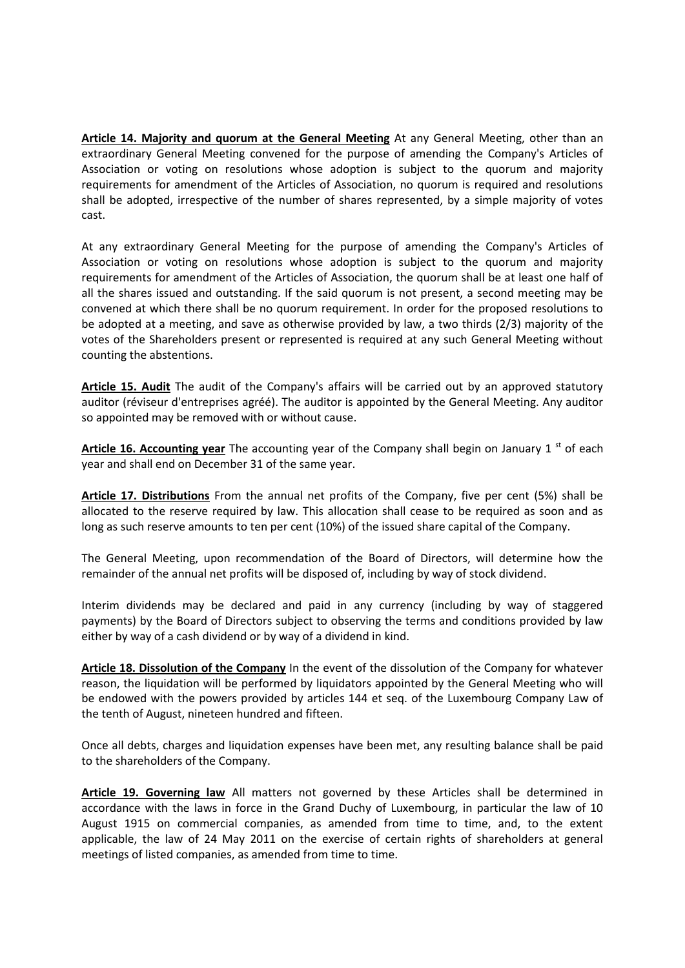**Article 14. Majority and quorum at the General Meeting** At any General Meeting, other than an extraordinary General Meeting convened for the purpose of amending the Company's Articles of Association or voting on resolutions whose adoption is subject to the quorum and majority requirements for amendment of the Articles of Association, no quorum is required and resolutions shall be adopted, irrespective of the number of shares represented, by a simple majority of votes cast.

At any extraordinary General Meeting for the purpose of amending the Company's Articles of Association or voting on resolutions whose adoption is subject to the quorum and majority requirements for amendment of the Articles of Association, the quorum shall be at least one half of all the shares issued and outstanding. If the said quorum is not present, a second meeting may be convened at which there shall be no quorum requirement. In order for the proposed resolutions to be adopted at a meeting, and save as otherwise provided by law, a two thirds (2/3) majority of the votes of the Shareholders present or represented is required at any such General Meeting without counting the abstentions.

**Article 15. Audit** The audit of the Company's affairs will be carried out by an approved statutory auditor (réviseur d'entreprises agréé). The auditor is appointed by the General Meeting. Any auditor so appointed may be removed with or without cause.

Article 16. Accounting year The accounting year of the Company shall begin on January 1<sup>st</sup> of each year and shall end on December 31 of the same year.

**Article 17. Distributions** From the annual net profits of the Company, five per cent (5%) shall be allocated to the reserve required by law. This allocation shall cease to be required as soon and as long as such reserve amounts to ten per cent (10%) of the issued share capital of the Company.

The General Meeting, upon recommendation of the Board of Directors, will determine how the remainder of the annual net profits will be disposed of, including by way of stock dividend.

Interim dividends may be declared and paid in any currency (including by way of staggered payments) by the Board of Directors subject to observing the terms and conditions provided by law either by way of a cash dividend or by way of a dividend in kind.

**Article 18. Dissolution of the Company** In the event of the dissolution of the Company for whatever reason, the liquidation will be performed by liquidators appointed by the General Meeting who will be endowed with the powers provided by articles 144 et seq. of the Luxembourg Company Law of the tenth of August, nineteen hundred and fifteen.

Once all debts, charges and liquidation expenses have been met, any resulting balance shall be paid to the shareholders of the Company.

**Article 19. Governing law** All matters not governed by these Articles shall be determined in accordance with the laws in force in the Grand Duchy of Luxembourg, in particular the law of 10 August 1915 on commercial companies, as amended from time to time, and, to the extent applicable, the law of 24 May 2011 on the exercise of certain rights of shareholders at general meetings of listed companies, as amended from time to time.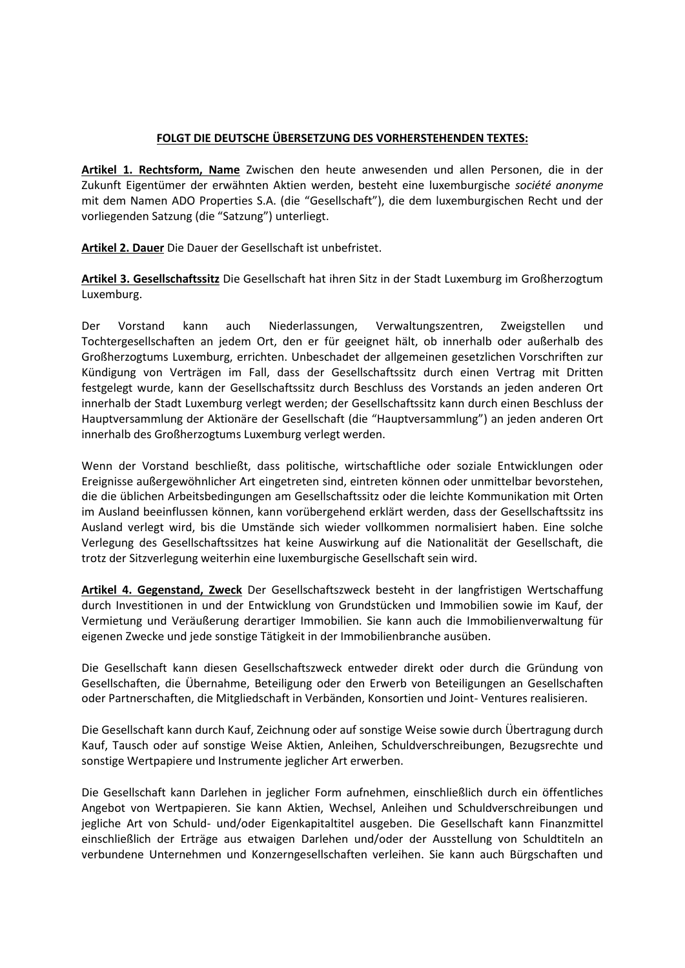## **FOLGT DIE DEUTSCHE ÜBERSETZUNG DES VORHERSTEHENDEN TEXTES:**

**Artikel 1. Rechtsform, Name** Zwischen den heute anwesenden und allen Personen, die in der Zukunft Eigentümer der erwähnten Aktien werden, besteht eine luxemburgische *société anonyme* mit dem Namen ADO Properties S.A. (die "Gesellschaft"), die dem luxemburgischen Recht und der vorliegenden Satzung (die "Satzung") unterliegt.

**Artikel 2. Dauer** Die Dauer der Gesellschaft ist unbefristet.

**Artikel 3. Gesellschaftssitz** Die Gesellschaft hat ihren Sitz in der Stadt Luxemburg im Großherzogtum Luxemburg.

Der Vorstand kann auch Niederlassungen, Verwaltungszentren, Zweigstellen und Tochtergesellschaften an jedem Ort, den er für geeignet hält, ob innerhalb oder außerhalb des Großherzogtums Luxemburg, errichten. Unbeschadet der allgemeinen gesetzlichen Vorschriften zur Kündigung von Verträgen im Fall, dass der Gesellschaftssitz durch einen Vertrag mit Dritten festgelegt wurde, kann der Gesellschaftssitz durch Beschluss des Vorstands an jeden anderen Ort innerhalb der Stadt Luxemburg verlegt werden; der Gesellschaftssitz kann durch einen Beschluss der Hauptversammlung der Aktionäre der Gesellschaft (die "Hauptversammlung") an jeden anderen Ort innerhalb des Großherzogtums Luxemburg verlegt werden.

Wenn der Vorstand beschließt, dass politische, wirtschaftliche oder soziale Entwicklungen oder Ereignisse außergewöhnlicher Art eingetreten sind, eintreten können oder unmittelbar bevorstehen, die die üblichen Arbeitsbedingungen am Gesellschaftssitz oder die leichte Kommunikation mit Orten im Ausland beeinflussen können, kann vorübergehend erklärt werden, dass der Gesellschaftssitz ins Ausland verlegt wird, bis die Umstände sich wieder vollkommen normalisiert haben. Eine solche Verlegung des Gesellschaftssitzes hat keine Auswirkung auf die Nationalität der Gesellschaft, die trotz der Sitzverlegung weiterhin eine luxemburgische Gesellschaft sein wird.

**Artikel 4. Gegenstand, Zweck** Der Gesellschaftszweck besteht in der langfristigen Wertschaffung durch Investitionen in und der Entwicklung von Grundstücken und Immobilien sowie im Kauf, der Vermietung und Veräußerung derartiger Immobilien. Sie kann auch die Immobilienverwaltung für eigenen Zwecke und jede sonstige Tätigkeit in der Immobilienbranche ausüben.

Die Gesellschaft kann diesen Gesellschaftszweck entweder direkt oder durch die Gründung von Gesellschaften, die Übernahme, Beteiligung oder den Erwerb von Beteiligungen an Gesellschaften oder Partnerschaften, die Mitgliedschaft in Verbänden, Konsortien und Joint- Ventures realisieren.

Die Gesellschaft kann durch Kauf, Zeichnung oder auf sonstige Weise sowie durch Übertragung durch Kauf, Tausch oder auf sonstige Weise Aktien, Anleihen, Schuldverschreibungen, Bezugsrechte und sonstige Wertpapiere und Instrumente jeglicher Art erwerben.

Die Gesellschaft kann Darlehen in jeglicher Form aufnehmen, einschließlich durch ein öffentliches Angebot von Wertpapieren. Sie kann Aktien, Wechsel, Anleihen und Schuldverschreibungen und jegliche Art von Schuld- und/oder Eigenkapitaltitel ausgeben. Die Gesellschaft kann Finanzmittel einschließlich der Erträge aus etwaigen Darlehen und/oder der Ausstellung von Schuldtiteln an verbundene Unternehmen und Konzerngesellschaften verleihen. Sie kann auch Bürgschaften und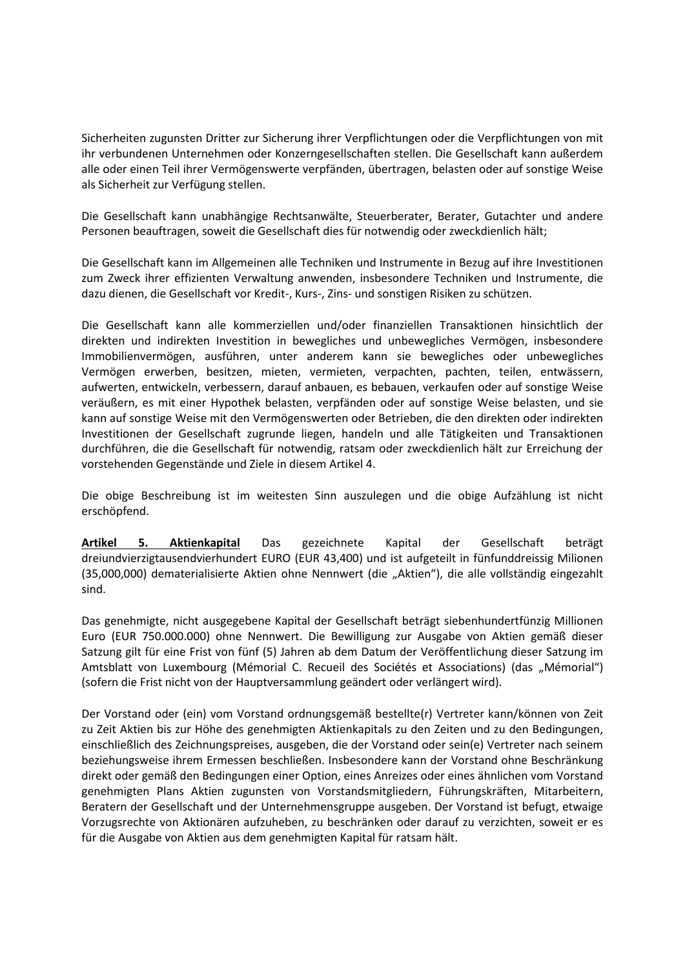Sicherheiten zugunsten Dritter zur Sicherung ihrer Verpflichtungen oder die Verpflichtungen von mit ihr verbundenen Unternehmen oder Konzerngesellschaften stellen. Die Gesellschaft kann außerdem alle oder einen Teil ihrer Vermögenswerte verpfänden, übertragen, belasten oder auf sonstige Weise als Sicherheit zur Verfügung stellen.

Die Gesellschaft kann unabhängige Rechtsanwälte, Steuerberater, Berater, Gutachter und andere Personen beauftragen, soweit die Gesellschaft dies für notwendig oder zweckdienlich hält;

Die Gesellschaft kann im Allgemeinen alle Techniken und Instrumente in Bezug auf ihre Investitionen zum Zweck ihrer effizienten Verwaltung anwenden, insbesondere Techniken und Instrumente, die dazu dienen, die Gesellschaft vor Kredit-, Kurs-, Zins- und sonstigen Risiken zu schützen.

Die Gesellschaft kann alle kommerziellen und/oder finanziellen Transaktionen hinsichtlich der direkten und indirekten Investition in bewegliches und unbewegliches Vermögen, insbesondere Immobilienvermögen, ausführen, unter anderem kann sie bewegliches oder unbewegliches Vermögen erwerben, besitzen, mieten, vermieten, verpachten, pachten, teilen, entwässern, aufwerten, entwickeln, verbessern, darauf anbauen, es bebauen, verkaufen oder auf sonstige Weise veräußern, es mit einer Hypothek belasten, verpfänden oder auf sonstige Weise belasten, und sie kann auf sonstige Weise mit den Vermögenswerten oder Betrieben, die den direkten oder indirekten Investitionen der Gesellschaft zugrunde liegen, handeln und alle Tätigkeiten und Transaktionen durchführen, die die Gesellschaft für notwendig, ratsam oder zweckdienlich hält zur Erreichung der vorstehenden Gegenstände und Ziele in diesem Artikel 4.

Die obige Beschreibung ist im weitesten Sinn auszulegen und die obige Aufzählung ist nicht erschöpfend.

**Artikel 5. Aktienkapital** Das gezeichnete Kapital der Gesellschaft beträgt dreiundvierzigtausendvierhundert EURO (EUR 43,400) und ist aufgeteilt in fünfunddreissig Milionen (35,000,000) dematerialisierte Aktien ohne Nennwert (die "Aktien"), die alle vollständig eingezahlt sind.

Das genehmigte, nicht ausgegebene Kapital der Gesellschaft beträgt siebenhundertfünzig Millionen Euro (EUR 750.000.000) ohne Nennwert. Die Bewilligung zur Ausgabe von Aktien gemäß dieser Satzung gilt für eine Frist von fünf (5) Jahren ab dem Datum der Veröffentlichung dieser Satzung im Amtsblatt von Luxembourg (Mémorial C. Recueil des Sociétés et Associations) (das "Mémorial") (sofern die Frist nicht von der Hauptversammlung geändert oder verlängert wird).

Der Vorstand oder (ein) vom Vorstand ordnungsgemäß bestellte(r) Vertreter kann/können von Zeit zu Zeit Aktien bis zur Höhe des genehmigten Aktienkapitals zu den Zeiten und zu den Bedingungen, einschließlich des Zeichnungspreises, ausgeben, die der Vorstand oder sein(e) Vertreter nach seinem beziehungsweise ihrem Ermessen beschließen. Insbesondere kann der Vorstand ohne Beschränkung direkt oder gemäß den Bedingungen einer Option, eines Anreizes oder eines ähnlichen vom Vorstand genehmigten Plans Aktien zugunsten von Vorstandsmitgliedern, Führungskräften, Mitarbeitern, Beratern der Gesellschaft und der Unternehmensgruppe ausgeben. Der Vorstand ist befugt, etwaige Vorzugsrechte von Aktionären aufzuheben, zu beschränken oder darauf zu verzichten, soweit er es für die Ausgabe von Aktien aus dem genehmigten Kapital für ratsam hält.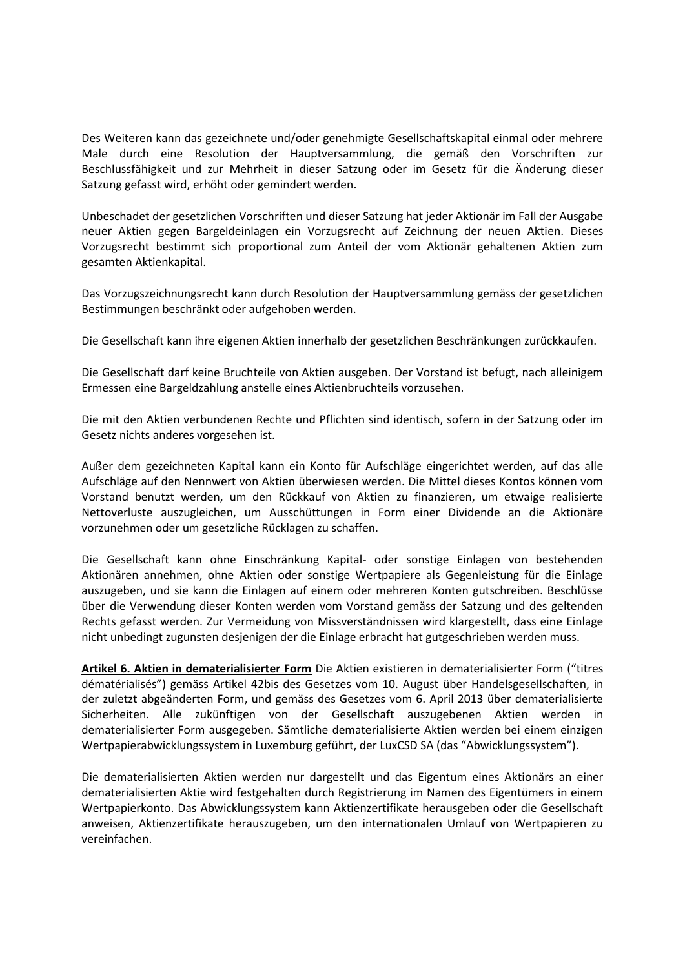Des Weiteren kann das gezeichnete und/oder genehmigte Gesellschaftskapital einmal oder mehrere Male durch eine Resolution der Hauptversammlung, die gemäß den Vorschriften zur Beschlussfähigkeit und zur Mehrheit in dieser Satzung oder im Gesetz für die Änderung dieser Satzung gefasst wird, erhöht oder gemindert werden.

Unbeschadet der gesetzlichen Vorschriften und dieser Satzung hat jeder Aktionär im Fall der Ausgabe neuer Aktien gegen Bargeldeinlagen ein Vorzugsrecht auf Zeichnung der neuen Aktien. Dieses Vorzugsrecht bestimmt sich proportional zum Anteil der vom Aktionär gehaltenen Aktien zum gesamten Aktienkapital.

Das Vorzugszeichnungsrecht kann durch Resolution der Hauptversammlung gemäss der gesetzlichen Bestimmungen beschränkt oder aufgehoben werden.

Die Gesellschaft kann ihre eigenen Aktien innerhalb der gesetzlichen Beschränkungen zurückkaufen.

Die Gesellschaft darf keine Bruchteile von Aktien ausgeben. Der Vorstand ist befugt, nach alleinigem Ermessen eine Bargeldzahlung anstelle eines Aktienbruchteils vorzusehen.

Die mit den Aktien verbundenen Rechte und Pflichten sind identisch, sofern in der Satzung oder im Gesetz nichts anderes vorgesehen ist.

Außer dem gezeichneten Kapital kann ein Konto für Aufschläge eingerichtet werden, auf das alle Aufschläge auf den Nennwert von Aktien überwiesen werden. Die Mittel dieses Kontos können vom Vorstand benutzt werden, um den Rückkauf von Aktien zu finanzieren, um etwaige realisierte Nettoverluste auszugleichen, um Ausschüttungen in Form einer Dividende an die Aktionäre vorzunehmen oder um gesetzliche Rücklagen zu schaffen.

Die Gesellschaft kann ohne Einschränkung Kapital- oder sonstige Einlagen von bestehenden Aktionären annehmen, ohne Aktien oder sonstige Wertpapiere als Gegenleistung für die Einlage auszugeben, und sie kann die Einlagen auf einem oder mehreren Konten gutschreiben. Beschlüsse über die Verwendung dieser Konten werden vom Vorstand gemäss der Satzung und des geltenden Rechts gefasst werden. Zur Vermeidung von Missverständnissen wird klargestellt, dass eine Einlage nicht unbedingt zugunsten desjenigen der die Einlage erbracht hat gutgeschrieben werden muss.

**Artikel 6. Aktien in dematerialisierter Form** Die Aktien existieren in dematerialisierter Form ("titres dématérialisés") gemäss Artikel 42bis des Gesetzes vom 10. August über Handelsgesellschaften, in der zuletzt abgeänderten Form, und gemäss des Gesetzes vom 6. April 2013 über dematerialisierte Sicherheiten. Alle zukünftigen von der Gesellschaft auszugebenen Aktien werden in dematerialisierter Form ausgegeben. Sämtliche dematerialisierte Aktien werden bei einem einzigen Wertpapierabwicklungssystem in Luxemburg geführt, der LuxCSD SA (das "Abwicklungssystem").

Die dematerialisierten Aktien werden nur dargestellt und das Eigentum eines Aktionärs an einer dematerialisierten Aktie wird festgehalten durch Registrierung im Namen des Eigentümers in einem Wertpapierkonto. Das Abwicklungssystem kann Aktienzertifikate herausgeben oder die Gesellschaft anweisen, Aktienzertifikate herauszugeben, um den internationalen Umlauf von Wertpapieren zu vereinfachen.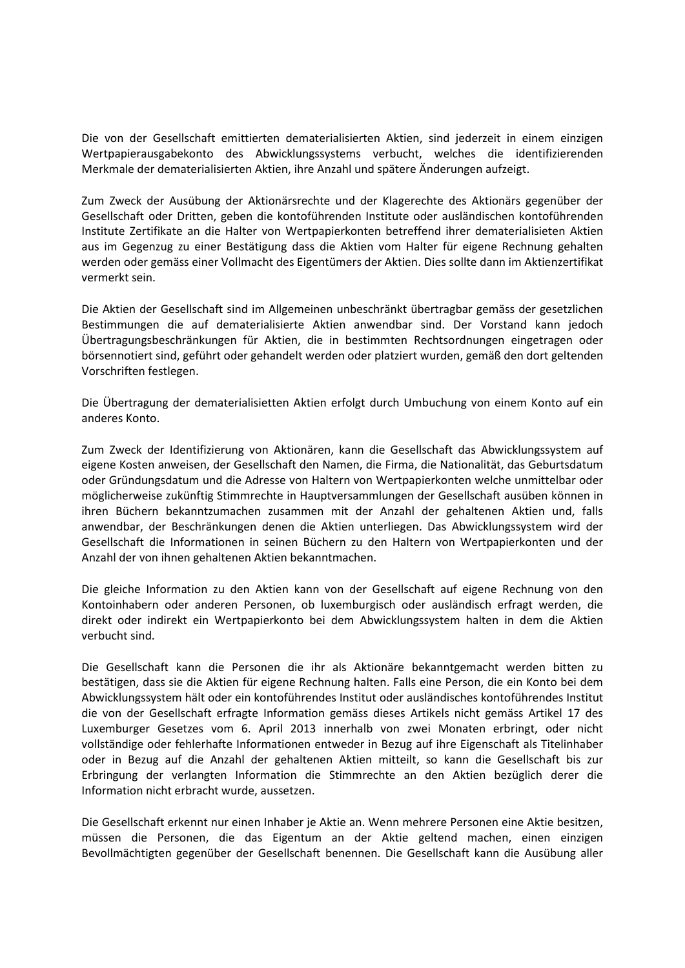Die von der Gesellschaft emittierten dematerialisierten Aktien, sind jederzeit in einem einzigen Wertpapierausgabekonto des Abwicklungssystems verbucht, welches die identifizierenden Merkmale der dematerialisierten Aktien, ihre Anzahl und spätere Änderungen aufzeigt.

Zum Zweck der Ausübung der Aktionärsrechte und der Klagerechte des Aktionärs gegenüber der Gesellschaft oder Dritten, geben die kontoführenden Institute oder ausländischen kontoführenden Institute Zertifikate an die Halter von Wertpapierkonten betreffend ihrer dematerialisieten Aktien aus im Gegenzug zu einer Bestätigung dass die Aktien vom Halter für eigene Rechnung gehalten werden oder gemäss einer Vollmacht des Eigentümers der Aktien. Dies sollte dann im Aktienzertifikat vermerkt sein.

Die Aktien der Gesellschaft sind im Allgemeinen unbeschränkt übertragbar gemäss der gesetzlichen Bestimmungen die auf dematerialisierte Aktien anwendbar sind. Der Vorstand kann jedoch Übertragungsbeschränkungen für Aktien, die in bestimmten Rechtsordnungen eingetragen oder börsennotiert sind, geführt oder gehandelt werden oder platziert wurden, gemäß den dort geltenden Vorschriften festlegen.

Die Übertragung der dematerialisietten Aktien erfolgt durch Umbuchung von einem Konto auf ein anderes Konto.

Zum Zweck der Identifizierung von Aktionären, kann die Gesellschaft das Abwicklungssystem auf eigene Kosten anweisen, der Gesellschaft den Namen, die Firma, die Nationalität, das Geburtsdatum oder Gründungsdatum und die Adresse von Haltern von Wertpapierkonten welche unmittelbar oder möglicherweise zukünftig Stimmrechte in Hauptversammlungen der Gesellschaft ausüben können in ihren Büchern bekanntzumachen zusammen mit der Anzahl der gehaltenen Aktien und, falls anwendbar, der Beschränkungen denen die Aktien unterliegen. Das Abwicklungssystem wird der Gesellschaft die Informationen in seinen Büchern zu den Haltern von Wertpapierkonten und der Anzahl der von ihnen gehaltenen Aktien bekanntmachen.

Die gleiche Information zu den Aktien kann von der Gesellschaft auf eigene Rechnung von den Kontoinhabern oder anderen Personen, ob luxemburgisch oder ausländisch erfragt werden, die direkt oder indirekt ein Wertpapierkonto bei dem Abwicklungssystem halten in dem die Aktien verbucht sind.

Die Gesellschaft kann die Personen die ihr als Aktionäre bekanntgemacht werden bitten zu bestätigen, dass sie die Aktien für eigene Rechnung halten. Falls eine Person, die ein Konto bei dem Abwicklungssystem hält oder ein kontoführendes Institut oder ausländisches kontoführendes Institut die von der Gesellschaft erfragte Information gemäss dieses Artikels nicht gemäss Artikel 17 des Luxemburger Gesetzes vom 6. April 2013 innerhalb von zwei Monaten erbringt, oder nicht vollständige oder fehlerhafte Informationen entweder in Bezug auf ihre Eigenschaft als Titelinhaber oder in Bezug auf die Anzahl der gehaltenen Aktien mitteilt, so kann die Gesellschaft bis zur Erbringung der verlangten Information die Stimmrechte an den Aktien bezüglich derer die Information nicht erbracht wurde, aussetzen.

Die Gesellschaft erkennt nur einen Inhaber je Aktie an. Wenn mehrere Personen eine Aktie besitzen, müssen die Personen, die das Eigentum an der Aktie geltend machen, einen einzigen Bevollmächtigten gegenüber der Gesellschaft benennen. Die Gesellschaft kann die Ausübung aller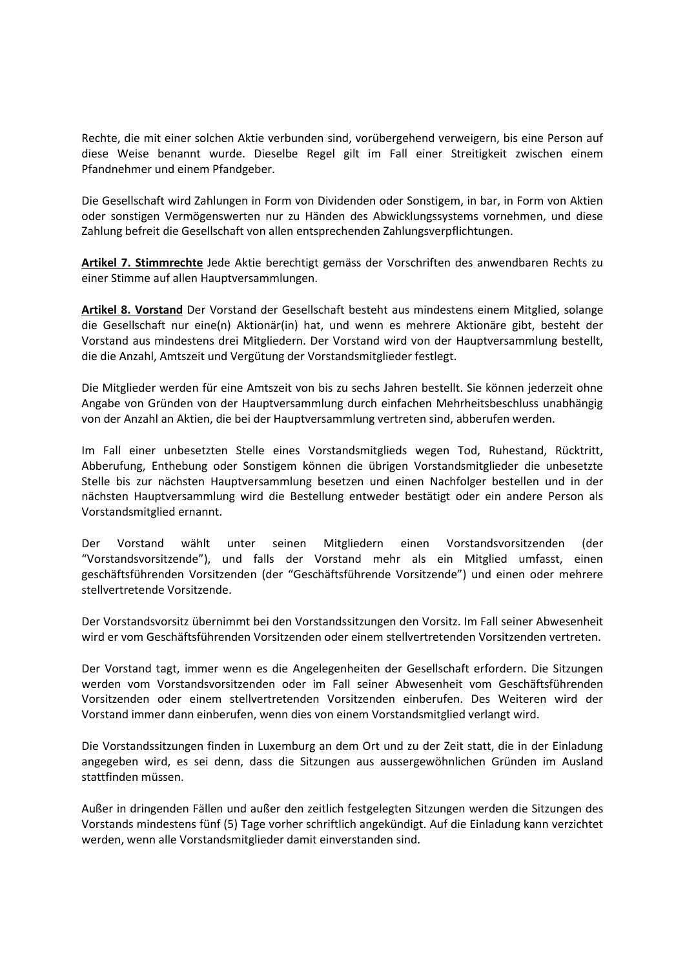Rechte, die mit einer solchen Aktie verbunden sind, vorübergehend verweigern, bis eine Person auf diese Weise benannt wurde. Dieselbe Regel gilt im Fall einer Streitigkeit zwischen einem Pfandnehmer und einem Pfandgeber.

Die Gesellschaft wird Zahlungen in Form von Dividenden oder Sonstigem, in bar, in Form von Aktien oder sonstigen Vermögenswerten nur zu Händen des Abwicklungssystems vornehmen, und diese Zahlung befreit die Gesellschaft von allen entsprechenden Zahlungsverpflichtungen.

**Artikel 7. Stimmrechte** Jede Aktie berechtigt gemäss der Vorschriften des anwendbaren Rechts zu einer Stimme auf allen Hauptversammlungen.

**Artikel 8. Vorstand** Der Vorstand der Gesellschaft besteht aus mindestens einem Mitglied, solange die Gesellschaft nur eine(n) Aktionär(in) hat, und wenn es mehrere Aktionäre gibt, besteht der Vorstand aus mindestens drei Mitgliedern. Der Vorstand wird von der Hauptversammlung bestellt, die die Anzahl, Amtszeit und Vergütung der Vorstandsmitglieder festlegt.

Die Mitglieder werden für eine Amtszeit von bis zu sechs Jahren bestellt. Sie können jederzeit ohne Angabe von Gründen von der Hauptversammlung durch einfachen Mehrheitsbeschluss unabhängig von der Anzahl an Aktien, die bei der Hauptversammlung vertreten sind, abberufen werden.

Im Fall einer unbesetzten Stelle eines Vorstandsmitglieds wegen Tod, Ruhestand, Rücktritt, Abberufung, Enthebung oder Sonstigem können die übrigen Vorstandsmitglieder die unbesetzte Stelle bis zur nächsten Hauptversammlung besetzen und einen Nachfolger bestellen und in der nächsten Hauptversammlung wird die Bestellung entweder bestätigt oder ein andere Person als Vorstandsmitglied ernannt.

Der Vorstand wählt unter seinen Mitgliedern einen Vorstandsvorsitzenden (der "Vorstandsvorsitzende"), und falls der Vorstand mehr als ein Mitglied umfasst, einen geschäftsführenden Vorsitzenden (der "Geschäftsführende Vorsitzende") und einen oder mehrere stellvertretende Vorsitzende.

Der Vorstandsvorsitz übernimmt bei den Vorstandssitzungen den Vorsitz. Im Fall seiner Abwesenheit wird er vom Geschäftsführenden Vorsitzenden oder einem stellvertretenden Vorsitzenden vertreten.

Der Vorstand tagt, immer wenn es die Angelegenheiten der Gesellschaft erfordern. Die Sitzungen werden vom Vorstandsvorsitzenden oder im Fall seiner Abwesenheit vom Geschäftsführenden Vorsitzenden oder einem stellvertretenden Vorsitzenden einberufen. Des Weiteren wird der Vorstand immer dann einberufen, wenn dies von einem Vorstandsmitglied verlangt wird.

Die Vorstandssitzungen finden in Luxemburg an dem Ort und zu der Zeit statt, die in der Einladung angegeben wird, es sei denn, dass die Sitzungen aus aussergewöhnlichen Gründen im Ausland stattfinden müssen.

Außer in dringenden Fällen und außer den zeitlich festgelegten Sitzungen werden die Sitzungen des Vorstands mindestens fünf (5) Tage vorher schriftlich angekündigt. Auf die Einladung kann verzichtet werden, wenn alle Vorstandsmitglieder damit einverstanden sind.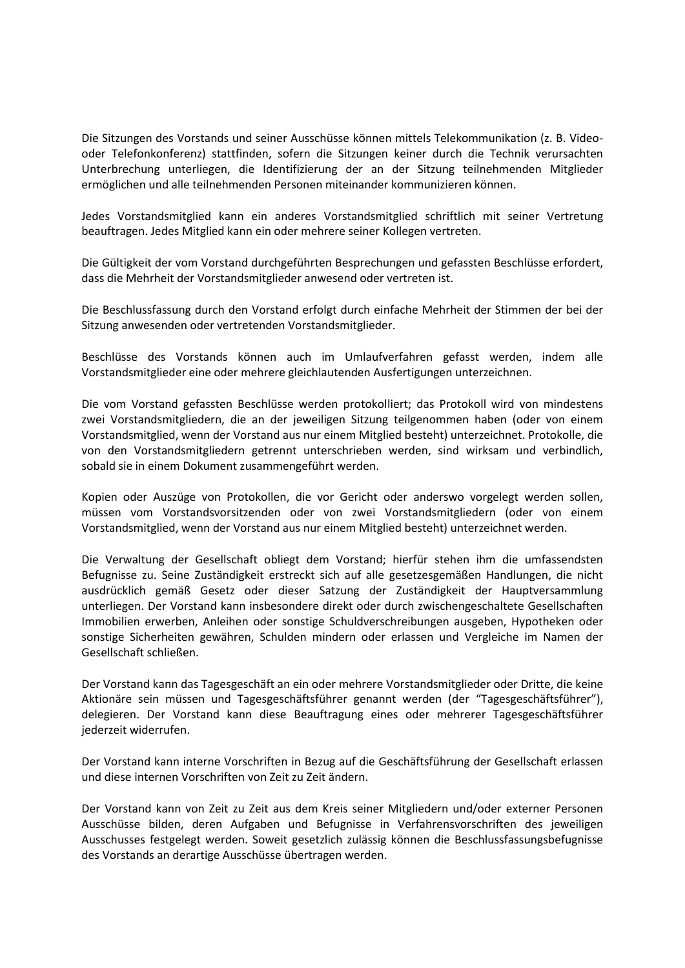Die Sitzungen des Vorstands und seiner Ausschüsse können mittels Telekommunikation (z. B. Videooder Telefonkonferenz) stattfinden, sofern die Sitzungen keiner durch die Technik verursachten Unterbrechung unterliegen, die Identifizierung der an der Sitzung teilnehmenden Mitglieder ermöglichen und alle teilnehmenden Personen miteinander kommunizieren können.

Jedes Vorstandsmitglied kann ein anderes Vorstandsmitglied schriftlich mit seiner Vertretung beauftragen. Jedes Mitglied kann ein oder mehrere seiner Kollegen vertreten.

Die Gültigkeit der vom Vorstand durchgeführten Besprechungen und gefassten Beschlüsse erfordert, dass die Mehrheit der Vorstandsmitglieder anwesend oder vertreten ist.

Die Beschlussfassung durch den Vorstand erfolgt durch einfache Mehrheit der Stimmen der bei der Sitzung anwesenden oder vertretenden Vorstandsmitglieder.

Beschlüsse des Vorstands können auch im Umlaufverfahren gefasst werden, indem alle Vorstandsmitglieder eine oder mehrere gleichlautenden Ausfertigungen unterzeichnen.

Die vom Vorstand gefassten Beschlüsse werden protokolliert; das Protokoll wird von mindestens zwei Vorstandsmitgliedern, die an der jeweiligen Sitzung teilgenommen haben (oder von einem Vorstandsmitglied, wenn der Vorstand aus nur einem Mitglied besteht) unterzeichnet. Protokolle, die von den Vorstandsmitgliedern getrennt unterschrieben werden, sind wirksam und verbindlich, sobald sie in einem Dokument zusammengeführt werden.

Kopien oder Auszüge von Protokollen, die vor Gericht oder anderswo vorgelegt werden sollen, müssen vom Vorstandsvorsitzenden oder von zwei Vorstandsmitgliedern (oder von einem Vorstandsmitglied, wenn der Vorstand aus nur einem Mitglied besteht) unterzeichnet werden.

Die Verwaltung der Gesellschaft obliegt dem Vorstand; hierfür stehen ihm die umfassendsten Befugnisse zu. Seine Zuständigkeit erstreckt sich auf alle gesetzesgemäßen Handlungen, die nicht ausdrücklich gemäß Gesetz oder dieser Satzung der Zuständigkeit der Hauptversammlung unterliegen. Der Vorstand kann insbesondere direkt oder durch zwischengeschaltete Gesellschaften Immobilien erwerben, Anleihen oder sonstige Schuldverschreibungen ausgeben, Hypotheken oder sonstige Sicherheiten gewähren, Schulden mindern oder erlassen und Vergleiche im Namen der Gesellschaft schließen.

Der Vorstand kann das Tagesgeschäft an ein oder mehrere Vorstandsmitglieder oder Dritte, die keine Aktionäre sein müssen und Tagesgeschäftsführer genannt werden (der "Tagesgeschäftsführer"), delegieren. Der Vorstand kann diese Beauftragung eines oder mehrerer Tagesgeschäftsführer jederzeit widerrufen.

Der Vorstand kann interne Vorschriften in Bezug auf die Geschäftsführung der Gesellschaft erlassen und diese internen Vorschriften von Zeit zu Zeit ändern.

Der Vorstand kann von Zeit zu Zeit aus dem Kreis seiner Mitgliedern und/oder externer Personen Ausschüsse bilden, deren Aufgaben und Befugnisse in Verfahrensvorschriften des jeweiligen Ausschusses festgelegt werden. Soweit gesetzlich zulässig können die Beschlussfassungsbefugnisse des Vorstands an derartige Ausschüsse übertragen werden.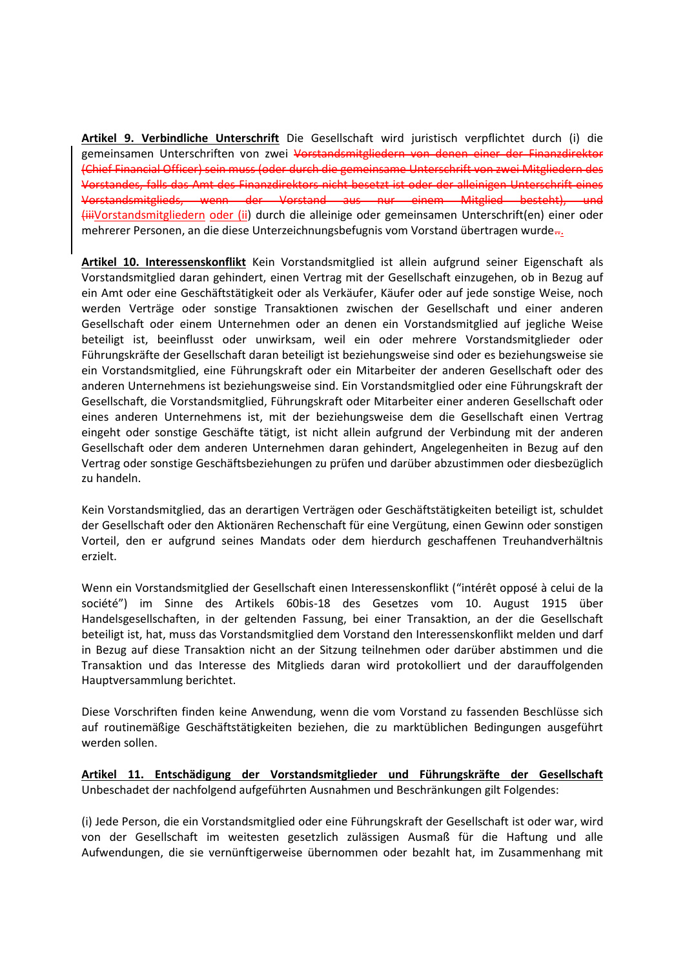**Artikel 9. Verbindliche Unterschrift** Die Gesellschaft wird juristisch verpflichtet durch (i) die gemeinsamen Unterschriften von zwei Vorstandsmitgliedern von denen einer der Finanzdirektor (Chief Financial Officer) sein muss (oder durch die gemeinsame Unterschrift von zwei Mitgliedern des Vorstandes, falls das Amt des Finanzdirektors nicht besetzt ist oder der alleinigen Unterschrift eines Vorstandsmitglieds, wenn der Vorstand aus nur einem Mitglied besteht), und (iiiVorstandsmitgliedern oder (ii) durch die alleinige oder gemeinsamen Unterschrift(en) einer oder mehrerer Personen, an die diese Unterzeichnungsbefugnis vom Vorstand übertragen wurde...

**Artikel 10. Interessenskonflikt** Kein Vorstandsmitglied ist allein aufgrund seiner Eigenschaft als Vorstandsmitglied daran gehindert, einen Vertrag mit der Gesellschaft einzugehen, ob in Bezug auf ein Amt oder eine Geschäftstätigkeit oder als Verkäufer, Käufer oder auf jede sonstige Weise, noch werden Verträge oder sonstige Transaktionen zwischen der Gesellschaft und einer anderen Gesellschaft oder einem Unternehmen oder an denen ein Vorstandsmitglied auf jegliche Weise beteiligt ist, beeinflusst oder unwirksam, weil ein oder mehrere Vorstandsmitglieder oder Führungskräfte der Gesellschaft daran beteiligt ist beziehungsweise sind oder es beziehungsweise sie ein Vorstandsmitglied, eine Führungskraft oder ein Mitarbeiter der anderen Gesellschaft oder des anderen Unternehmens ist beziehungsweise sind. Ein Vorstandsmitglied oder eine Führungskraft der Gesellschaft, die Vorstandsmitglied, Führungskraft oder Mitarbeiter einer anderen Gesellschaft oder eines anderen Unternehmens ist, mit der beziehungsweise dem die Gesellschaft einen Vertrag eingeht oder sonstige Geschäfte tätigt, ist nicht allein aufgrund der Verbindung mit der anderen Gesellschaft oder dem anderen Unternehmen daran gehindert, Angelegenheiten in Bezug auf den Vertrag oder sonstige Geschäftsbeziehungen zu prüfen und darüber abzustimmen oder diesbezüglich zu handeln.

Kein Vorstandsmitglied, das an derartigen Verträgen oder Geschäftstätigkeiten beteiligt ist, schuldet der Gesellschaft oder den Aktionären Rechenschaft für eine Vergütung, einen Gewinn oder sonstigen Vorteil, den er aufgrund seines Mandats oder dem hierdurch geschaffenen Treuhandverhältnis erzielt.

Wenn ein Vorstandsmitglied der Gesellschaft einen Interessenskonflikt ("intérêt opposé à celui de la société") im Sinne des Artikels 60bis-18 des Gesetzes vom 10. August 1915 über Handelsgesellschaften, in der geltenden Fassung, bei einer Transaktion, an der die Gesellschaft beteiligt ist, hat, muss das Vorstandsmitglied dem Vorstand den Interessenskonflikt melden und darf in Bezug auf diese Transaktion nicht an der Sitzung teilnehmen oder darüber abstimmen und die Transaktion und das Interesse des Mitglieds daran wird protokolliert und der darauffolgenden Hauptversammlung berichtet.

Diese Vorschriften finden keine Anwendung, wenn die vom Vorstand zu fassenden Beschlüsse sich auf routinemäßige Geschäftstätigkeiten beziehen, die zu marktüblichen Bedingungen ausgeführt werden sollen.

**Artikel 11. Entschädigung der Vorstandsmitglieder und Führungskräfte der Gesellschaft** Unbeschadet der nachfolgend aufgeführten Ausnahmen und Beschränkungen gilt Folgendes:

(i) Jede Person, die ein Vorstandsmitglied oder eine Führungskraft der Gesellschaft ist oder war, wird von der Gesellschaft im weitesten gesetzlich zulässigen Ausmaß für die Haftung und alle Aufwendungen, die sie vernünftigerweise übernommen oder bezahlt hat, im Zusammenhang mit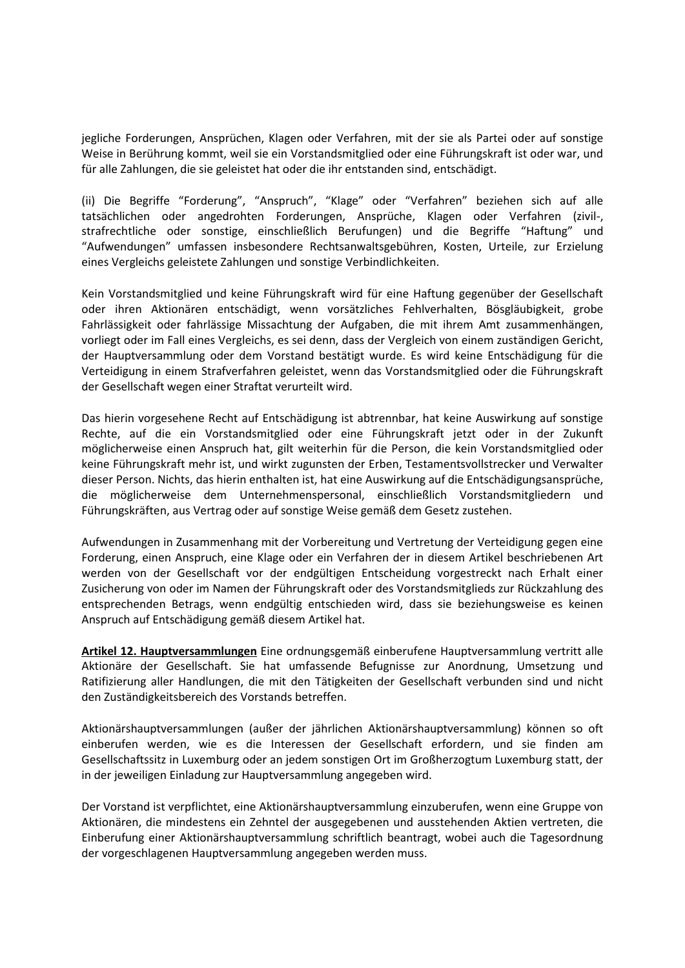jegliche Forderungen, Ansprüchen, Klagen oder Verfahren, mit der sie als Partei oder auf sonstige Weise in Berührung kommt, weil sie ein Vorstandsmitglied oder eine Führungskraft ist oder war, und für alle Zahlungen, die sie geleistet hat oder die ihr entstanden sind, entschädigt.

(ii) Die Begriffe "Forderung", "Anspruch", "Klage" oder "Verfahren" beziehen sich auf alle tatsächlichen oder angedrohten Forderungen, Ansprüche, Klagen oder Verfahren (zivil-, strafrechtliche oder sonstige, einschließlich Berufungen) und die Begriffe "Haftung" und "Aufwendungen" umfassen insbesondere Rechtsanwaltsgebühren, Kosten, Urteile, zur Erzielung eines Vergleichs geleistete Zahlungen und sonstige Verbindlichkeiten.

Kein Vorstandsmitglied und keine Führungskraft wird für eine Haftung gegenüber der Gesellschaft oder ihren Aktionären entschädigt, wenn vorsätzliches Fehlverhalten, Bösgläubigkeit, grobe Fahrlässigkeit oder fahrlässige Missachtung der Aufgaben, die mit ihrem Amt zusammenhängen, vorliegt oder im Fall eines Vergleichs, es sei denn, dass der Vergleich von einem zuständigen Gericht, der Hauptversammlung oder dem Vorstand bestätigt wurde. Es wird keine Entschädigung für die Verteidigung in einem Strafverfahren geleistet, wenn das Vorstandsmitglied oder die Führungskraft der Gesellschaft wegen einer Straftat verurteilt wird.

Das hierin vorgesehene Recht auf Entschädigung ist abtrennbar, hat keine Auswirkung auf sonstige Rechte, auf die ein Vorstandsmitglied oder eine Führungskraft jetzt oder in der Zukunft möglicherweise einen Anspruch hat, gilt weiterhin für die Person, die kein Vorstandsmitglied oder keine Führungskraft mehr ist, und wirkt zugunsten der Erben, Testamentsvollstrecker und Verwalter dieser Person. Nichts, das hierin enthalten ist, hat eine Auswirkung auf die Entschädigungsansprüche, die möglicherweise dem Unternehmenspersonal, einschließlich Vorstandsmitgliedern und Führungskräften, aus Vertrag oder auf sonstige Weise gemäß dem Gesetz zustehen.

Aufwendungen in Zusammenhang mit der Vorbereitung und Vertretung der Verteidigung gegen eine Forderung, einen Anspruch, eine Klage oder ein Verfahren der in diesem Artikel beschriebenen Art werden von der Gesellschaft vor der endgültigen Entscheidung vorgestreckt nach Erhalt einer Zusicherung von oder im Namen der Führungskraft oder des Vorstandsmitglieds zur Rückzahlung des entsprechenden Betrags, wenn endgültig entschieden wird, dass sie beziehungsweise es keinen Anspruch auf Entschädigung gemäß diesem Artikel hat.

**Artikel 12. Hauptversammlungen** Eine ordnungsgemäß einberufene Hauptversammlung vertritt alle Aktionäre der Gesellschaft. Sie hat umfassende Befugnisse zur Anordnung, Umsetzung und Ratifizierung aller Handlungen, die mit den Tätigkeiten der Gesellschaft verbunden sind und nicht den Zuständigkeitsbereich des Vorstands betreffen.

Aktionärshauptversammlungen (außer der jährlichen Aktionärshauptversammlung) können so oft einberufen werden, wie es die Interessen der Gesellschaft erfordern, und sie finden am Gesellschaftssitz in Luxemburg oder an jedem sonstigen Ort im Großherzogtum Luxemburg statt, der in der jeweiligen Einladung zur Hauptversammlung angegeben wird.

Der Vorstand ist verpflichtet, eine Aktionärshauptversammlung einzuberufen, wenn eine Gruppe von Aktionären, die mindestens ein Zehntel der ausgegebenen und ausstehenden Aktien vertreten, die Einberufung einer Aktionärshauptversammlung schriftlich beantragt, wobei auch die Tagesordnung der vorgeschlagenen Hauptversammlung angegeben werden muss.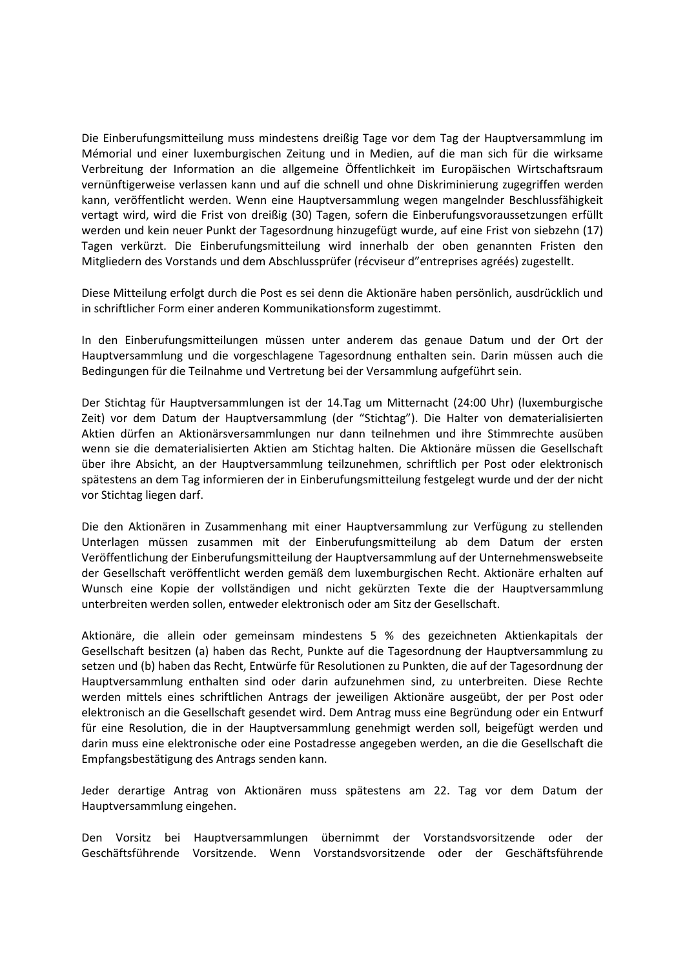Die Einberufungsmitteilung muss mindestens dreißig Tage vor dem Tag der Hauptversammlung im Mémorial und einer luxemburgischen Zeitung und in Medien, auf die man sich für die wirksame Verbreitung der Information an die allgemeine Öffentlichkeit im Europäischen Wirtschaftsraum vernünftigerweise verlassen kann und auf die schnell und ohne Diskriminierung zugegriffen werden kann, veröffentlicht werden. Wenn eine Hauptversammlung wegen mangelnder Beschlussfähigkeit vertagt wird, wird die Frist von dreißig (30) Tagen, sofern die Einberufungsvoraussetzungen erfüllt werden und kein neuer Punkt der Tagesordnung hinzugefügt wurde, auf eine Frist von siebzehn (17) Tagen verkürzt. Die Einberufungsmitteilung wird innerhalb der oben genannten Fristen den Mitgliedern des Vorstands und dem Abschlussprüfer (récviseur d"entreprises agréés) zugestellt.

Diese Mitteilung erfolgt durch die Post es sei denn die Aktionäre haben persönlich, ausdrücklich und in schriftlicher Form einer anderen Kommunikationsform zugestimmt.

In den Einberufungsmitteilungen müssen unter anderem das genaue Datum und der Ort der Hauptversammlung und die vorgeschlagene Tagesordnung enthalten sein. Darin müssen auch die Bedingungen für die Teilnahme und Vertretung bei der Versammlung aufgeführt sein.

Der Stichtag für Hauptversammlungen ist der 14.Tag um Mitternacht (24:00 Uhr) (luxemburgische Zeit) vor dem Datum der Hauptversammlung (der "Stichtag"). Die Halter von dematerialisierten Aktien dürfen an Aktionärsversammlungen nur dann teilnehmen und ihre Stimmrechte ausüben wenn sie die dematerialisierten Aktien am Stichtag halten. Die Aktionäre müssen die Gesellschaft über ihre Absicht, an der Hauptversammlung teilzunehmen, schriftlich per Post oder elektronisch spätestens an dem Tag informieren der in Einberufungsmitteilung festgelegt wurde und der der nicht vor Stichtag liegen darf.

Die den Aktionären in Zusammenhang mit einer Hauptversammlung zur Verfügung zu stellenden Unterlagen müssen zusammen mit der Einberufungsmitteilung ab dem Datum der ersten Veröffentlichung der Einberufungsmitteilung der Hauptversammlung auf der Unternehmenswebseite der Gesellschaft veröffentlicht werden gemäß dem luxemburgischen Recht. Aktionäre erhalten auf Wunsch eine Kopie der vollständigen und nicht gekürzten Texte die der Hauptversammlung unterbreiten werden sollen, entweder elektronisch oder am Sitz der Gesellschaft.

Aktionäre, die allein oder gemeinsam mindestens 5 % des gezeichneten Aktienkapitals der Gesellschaft besitzen (a) haben das Recht, Punkte auf die Tagesordnung der Hauptversammlung zu setzen und (b) haben das Recht, Entwürfe für Resolutionen zu Punkten, die auf der Tagesordnung der Hauptversammlung enthalten sind oder darin aufzunehmen sind, zu unterbreiten. Diese Rechte werden mittels eines schriftlichen Antrags der jeweiligen Aktionäre ausgeübt, der per Post oder elektronisch an die Gesellschaft gesendet wird. Dem Antrag muss eine Begründung oder ein Entwurf für eine Resolution, die in der Hauptversammlung genehmigt werden soll, beigefügt werden und darin muss eine elektronische oder eine Postadresse angegeben werden, an die die Gesellschaft die Empfangsbestätigung des Antrags senden kann.

Jeder derartige Antrag von Aktionären muss spätestens am 22. Tag vor dem Datum der Hauptversammlung eingehen.

Den Vorsitz bei Hauptversammlungen übernimmt der Vorstandsvorsitzende oder der Geschäftsführende Vorsitzende. Wenn Vorstandsvorsitzende oder der Geschäftsführende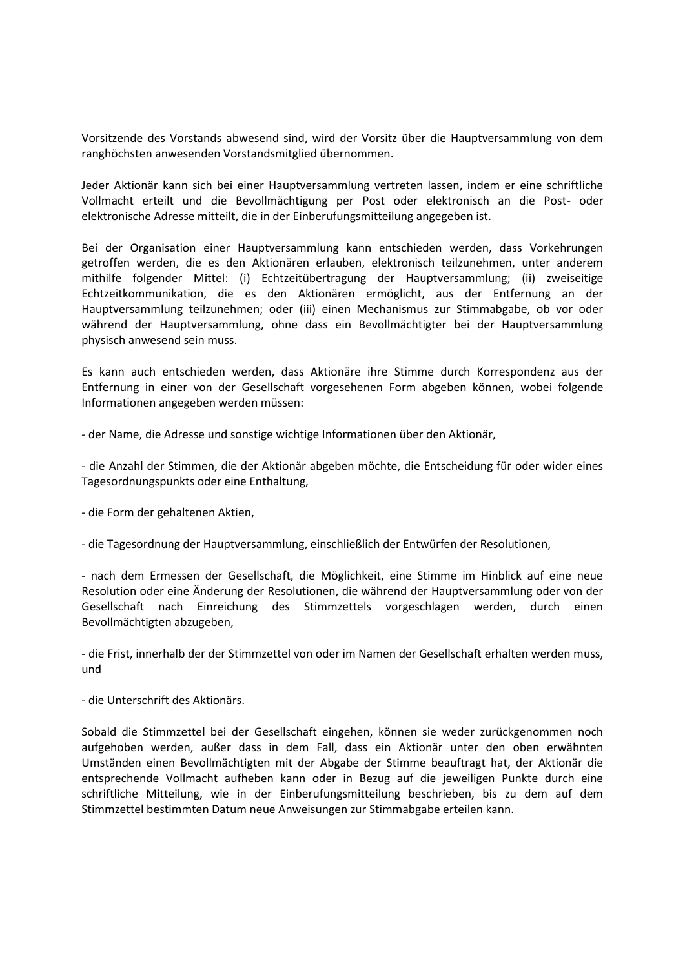Vorsitzende des Vorstands abwesend sind, wird der Vorsitz über die Hauptversammlung von dem ranghöchsten anwesenden Vorstandsmitglied übernommen.

Jeder Aktionär kann sich bei einer Hauptversammlung vertreten lassen, indem er eine schriftliche Vollmacht erteilt und die Bevollmächtigung per Post oder elektronisch an die Post- oder elektronische Adresse mitteilt, die in der Einberufungsmitteilung angegeben ist.

Bei der Organisation einer Hauptversammlung kann entschieden werden, dass Vorkehrungen getroffen werden, die es den Aktionären erlauben, elektronisch teilzunehmen, unter anderem mithilfe folgender Mittel: (i) Echtzeitübertragung der Hauptversammlung; (ii) zweiseitige Echtzeitkommunikation, die es den Aktionären ermöglicht, aus der Entfernung an der Hauptversammlung teilzunehmen; oder (iii) einen Mechanismus zur Stimmabgabe, ob vor oder während der Hauptversammlung, ohne dass ein Bevollmächtigter bei der Hauptversammlung physisch anwesend sein muss.

Es kann auch entschieden werden, dass Aktionäre ihre Stimme durch Korrespondenz aus der Entfernung in einer von der Gesellschaft vorgesehenen Form abgeben können, wobei folgende Informationen angegeben werden müssen:

- der Name, die Adresse und sonstige wichtige Informationen über den Aktionär,

- die Anzahl der Stimmen, die der Aktionär abgeben möchte, die Entscheidung für oder wider eines Tagesordnungspunkts oder eine Enthaltung,

- die Form der gehaltenen Aktien,

- die Tagesordnung der Hauptversammlung, einschließlich der Entwürfen der Resolutionen,

- nach dem Ermessen der Gesellschaft, die Möglichkeit, eine Stimme im Hinblick auf eine neue Resolution oder eine Änderung der Resolutionen, die während der Hauptversammlung oder von der Gesellschaft nach Einreichung des Stimmzettels vorgeschlagen werden, durch einen Bevollmächtigten abzugeben,

- die Frist, innerhalb der der Stimmzettel von oder im Namen der Gesellschaft erhalten werden muss, und

- die Unterschrift des Aktionärs.

Sobald die Stimmzettel bei der Gesellschaft eingehen, können sie weder zurückgenommen noch aufgehoben werden, außer dass in dem Fall, dass ein Aktionär unter den oben erwähnten Umständen einen Bevollmächtigten mit der Abgabe der Stimme beauftragt hat, der Aktionär die entsprechende Vollmacht aufheben kann oder in Bezug auf die jeweiligen Punkte durch eine schriftliche Mitteilung, wie in der Einberufungsmitteilung beschrieben, bis zu dem auf dem Stimmzettel bestimmten Datum neue Anweisungen zur Stimmabgabe erteilen kann.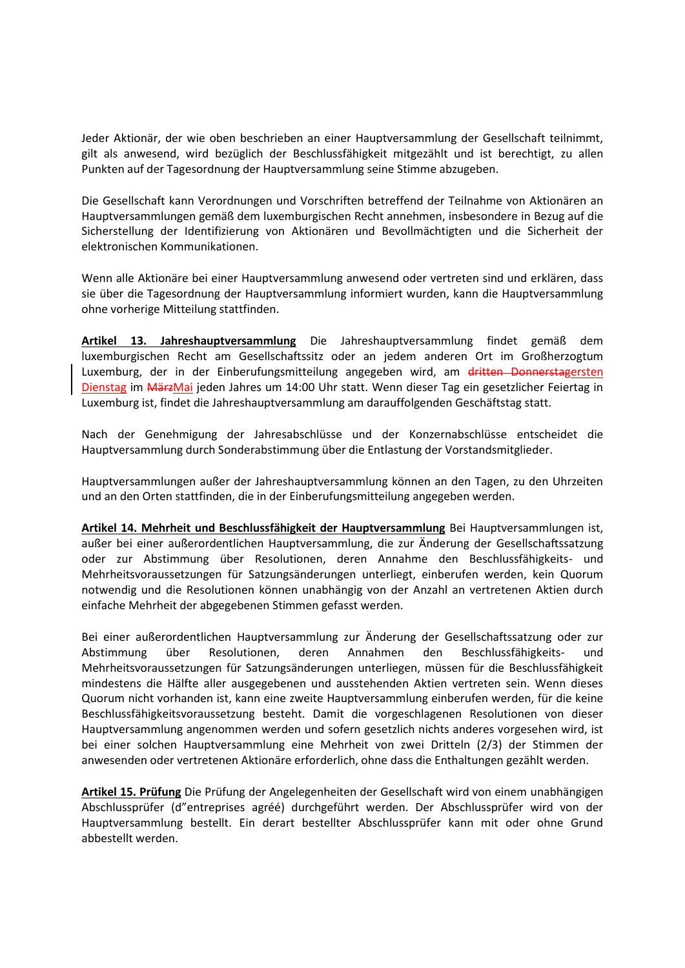Jeder Aktionär, der wie oben beschrieben an einer Hauptversammlung der Gesellschaft teilnimmt, gilt als anwesend, wird bezüglich der Beschlussfähigkeit mitgezählt und ist berechtigt, zu allen Punkten auf der Tagesordnung der Hauptversammlung seine Stimme abzugeben.

Die Gesellschaft kann Verordnungen und Vorschriften betreffend der Teilnahme von Aktionären an Hauptversammlungen gemäß dem luxemburgischen Recht annehmen, insbesondere in Bezug auf die Sicherstellung der Identifizierung von Aktionären und Bevollmächtigten und die Sicherheit der elektronischen Kommunikationen.

Wenn alle Aktionäre bei einer Hauptversammlung anwesend oder vertreten sind und erklären, dass sie über die Tagesordnung der Hauptversammlung informiert wurden, kann die Hauptversammlung ohne vorherige Mitteilung stattfinden.

**Artikel 13. Jahreshauptversammlung** Die Jahreshauptversammlung findet gemäß dem luxemburgischen Recht am Gesellschaftssitz oder an jedem anderen Ort im Großherzogtum Luxemburg, der in der Einberufungsmitteilung angegeben wird, am dritten Donnerstagersten Dienstag im MärzMai jeden Jahres um 14:00 Uhr statt. Wenn dieser Tag ein gesetzlicher Feiertag in Luxemburg ist, findet die Jahreshauptversammlung am darauffolgenden Geschäftstag statt.

Nach der Genehmigung der Jahresabschlüsse und der Konzernabschlüsse entscheidet die Hauptversammlung durch Sonderabstimmung über die Entlastung der Vorstandsmitglieder.

Hauptversammlungen außer der Jahreshauptversammlung können an den Tagen, zu den Uhrzeiten und an den Orten stattfinden, die in der Einberufungsmitteilung angegeben werden.

**Artikel 14. Mehrheit und Beschlussfähigkeit der Hauptversammlung** Bei Hauptversammlungen ist, außer bei einer außerordentlichen Hauptversammlung, die zur Änderung der Gesellschaftssatzung oder zur Abstimmung über Resolutionen, deren Annahme den Beschlussfähigkeits- und Mehrheitsvoraussetzungen für Satzungsänderungen unterliegt, einberufen werden, kein Quorum notwendig und die Resolutionen können unabhängig von der Anzahl an vertretenen Aktien durch einfache Mehrheit der abgegebenen Stimmen gefasst werden.

Bei einer außerordentlichen Hauptversammlung zur Änderung der Gesellschaftssatzung oder zur Abstimmung über Resolutionen, deren Annahmen den Beschlussfähigkeits- und Mehrheitsvoraussetzungen für Satzungsänderungen unterliegen, müssen für die Beschlussfähigkeit mindestens die Hälfte aller ausgegebenen und ausstehenden Aktien vertreten sein. Wenn dieses Quorum nicht vorhanden ist, kann eine zweite Hauptversammlung einberufen werden, für die keine Beschlussfähigkeitsvoraussetzung besteht. Damit die vorgeschlagenen Resolutionen von dieser Hauptversammlung angenommen werden und sofern gesetzlich nichts anderes vorgesehen wird, ist bei einer solchen Hauptversammlung eine Mehrheit von zwei Dritteln (2/3) der Stimmen der anwesenden oder vertretenen Aktionäre erforderlich, ohne dass die Enthaltungen gezählt werden.

**Artikel 15. Prüfung** Die Prüfung der Angelegenheiten der Gesellschaft wird von einem unabhängigen Abschlussprüfer (d"entreprises agréé) durchgeführt werden. Der Abschlussprüfer wird von der Hauptversammlung bestellt. Ein derart bestellter Abschlussprüfer kann mit oder ohne Grund abbestellt werden.